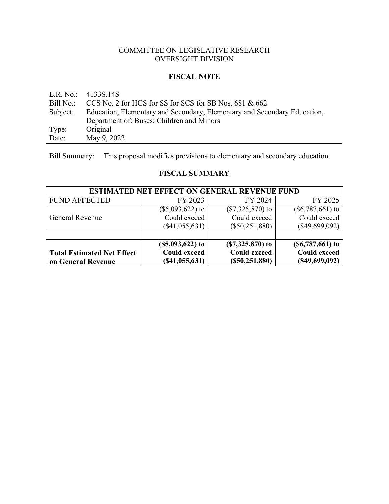# COMMITTEE ON LEGISLATIVE RESEARCH OVERSIGHT DIVISION

# **FISCAL NOTE**

|       | L.R. No.: $4133S.14S$                                                             |
|-------|-----------------------------------------------------------------------------------|
|       | Bill No.: $CCS$ No. 2 for HCS for SS for SCS for SB Nos. 681 & 662                |
|       | Subject: Education, Elementary and Secondary, Elementary and Secondary Education, |
|       | Department of: Buses: Children and Minors                                         |
| Type: | Original                                                                          |
| Date: | May 9, 2022                                                                       |

Bill Summary: This proposal modifies provisions to elementary and secondary education.

# **FISCAL SUMMARY**

| <b>ESTIMATED NET EFFECT ON GENERAL REVENUE FUND</b> |                     |                     |                     |  |
|-----------------------------------------------------|---------------------|---------------------|---------------------|--|
| <b>FUND AFFECTED</b>                                | FY 2023             | FY 2024             | FY 2025             |  |
|                                                     | $(\$5,093,622)$ to  | $(\$7,325,870)$ to  | $(\$6,787,661)$ to  |  |
| <b>General Revenue</b>                              | Could exceed        | Could exceed        | Could exceed        |  |
|                                                     | $(\$41,055,631)$    | $(\$50,251,880)$    | $(\$49,699,092)$    |  |
|                                                     |                     |                     |                     |  |
|                                                     | $($5,093,622)$ to   | $(S7, 325, 870)$ to | $(S6, 787, 661)$ to |  |
| <b>Total Estimated Net Effect</b>                   | <b>Could exceed</b> | <b>Could exceed</b> | <b>Could exceed</b> |  |
| on General Revenue                                  | (S41, 055, 631)     | (S50, 251, 880)     | (S49, 699, 092)     |  |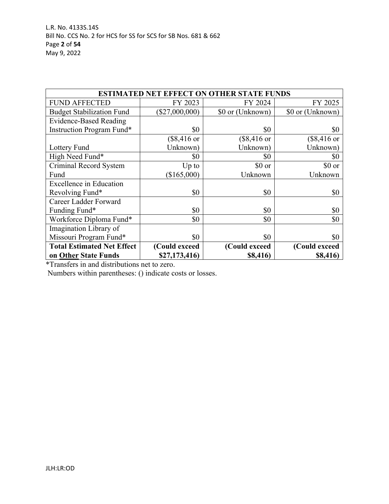| <b>ESTIMATED NET EFFECT ON OTHER STATE FUNDS</b> |                       |                       |                       |  |
|--------------------------------------------------|-----------------------|-----------------------|-----------------------|--|
| <b>FUND AFFECTED</b>                             | FY 2023               | FY 2024               | FY 2025               |  |
| <b>Budget Stabilization Fund</b>                 | $(\$27,000,000)$      | \$0 or (Unknown)      | \$0 or (Unknown)      |  |
| <b>Evidence-Based Reading</b>                    |                       |                       |                       |  |
| Instruction Program Fund*                        | \$0                   | \$0                   | \$0                   |  |
|                                                  | $($8,416 \text{ or }$ | $($8,416 \text{ or }$ | $($8,416 \text{ or }$ |  |
| Lottery Fund                                     | Unknown)              | Unknown)              | Unknown)              |  |
| High Need Fund*                                  | \$0                   | \$0                   | \$0                   |  |
| Criminal Record System                           | $Up$ to               | \$0 or                | \$0 or                |  |
| Fund                                             | (\$165,000)           | Unknown               | Unknown               |  |
| <b>Excellence in Education</b>                   |                       |                       |                       |  |
| Revolving Fund*                                  | \$0                   | \$0                   | \$0                   |  |
| Career Ladder Forward                            |                       |                       |                       |  |
| Funding Fund*                                    | \$0                   | \$0                   | \$0                   |  |
| Workforce Diploma Fund*                          | \$0                   | \$0                   | \$0                   |  |
| Imagination Library of                           |                       |                       |                       |  |
| Missouri Program Fund*                           | \$0                   | \$0                   | \$0                   |  |
| <b>Total Estimated Net Effect</b>                | (Could exceed         | (Could exceed         | (Could exceed         |  |
| on Other State Funds                             | \$27,173,416)         | \$8,416)              | \$8,416)              |  |

\*Transfers in and distributions net to zero.

Numbers within parentheses: () indicate costs or losses.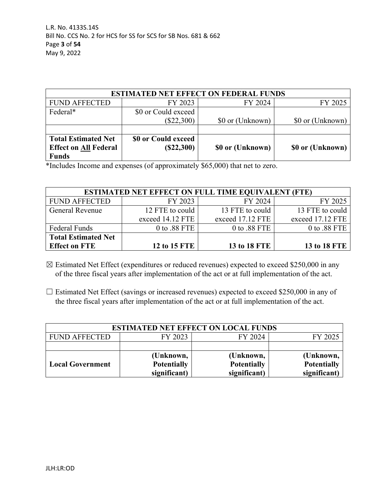| <b>ESTIMATED NET EFFECT ON FEDERAL FUNDS</b> |                     |                  |                  |  |  |
|----------------------------------------------|---------------------|------------------|------------------|--|--|
| <b>FUND AFFECTED</b>                         | FY 2023             | FY 2024          | FY 2025          |  |  |
| Federal*                                     | \$0 or Could exceed |                  |                  |  |  |
|                                              | $(\$22,300)$        | \$0 or (Unknown) | \$0 or (Unknown) |  |  |
|                                              |                     |                  |                  |  |  |
| <b>Total Estimated Net</b>                   | \$0 or Could exceed |                  |                  |  |  |
| <b>Effect on All Federal</b>                 | (S22,300)           | \$0 or (Unknown) | \$0 or (Unknown) |  |  |
| <b>Funds</b>                                 |                     |                  |                  |  |  |

\*Includes Income and expenses (of approximately \$65,000) that net to zero.

| <b>ESTIMATED NET EFFECT ON FULL TIME EQUIVALENT (FTE)</b> |                  |                  |                  |  |  |
|-----------------------------------------------------------|------------------|------------------|------------------|--|--|
| <b>FUND AFFECTED</b>                                      | FY 2023          | FY 2024          | FY 2025          |  |  |
| <b>General Revenue</b>                                    | 12 FTE to could  | 13 FTE to could  | 13 FTE to could  |  |  |
|                                                           | exceed 14.12 FTE | exceed 17.12 FTE | exceed 17.12 FTE |  |  |
| Federal Funds                                             | 0 to .88 FTE     | 0 to .88 FTE     | 0 to .88 FTE $ $ |  |  |
| <b>Total Estimated Net</b>                                |                  |                  |                  |  |  |
| <b>Effect on FTE</b>                                      | 12 to 15 FTE     | 13 to 18 FTE     | 13 to 18 FTE     |  |  |

☒ Estimated Net Effect (expenditures or reduced revenues) expected to exceed \$250,000 in any of the three fiscal years after implementation of the act or at full implementation of the act.

 $\Box$  Estimated Net Effect (savings or increased revenues) expected to exceed \$250,000 in any of the three fiscal years after implementation of the act or at full implementation of the act.

| <b>ESTIMATED NET EFFECT ON LOCAL FUNDS</b> |                    |                    |                    |  |  |
|--------------------------------------------|--------------------|--------------------|--------------------|--|--|
| <b>FUND AFFECTED</b>                       | FY 2023            | FY 2024            | FY 2025            |  |  |
|                                            |                    |                    |                    |  |  |
|                                            | (Unknown,          | (Unknown,          | (Unknown,          |  |  |
| <b>Local Government</b>                    | <b>Potentially</b> | <b>Potentially</b> | <b>Potentially</b> |  |  |
|                                            | significant)       | significant)       | significant)       |  |  |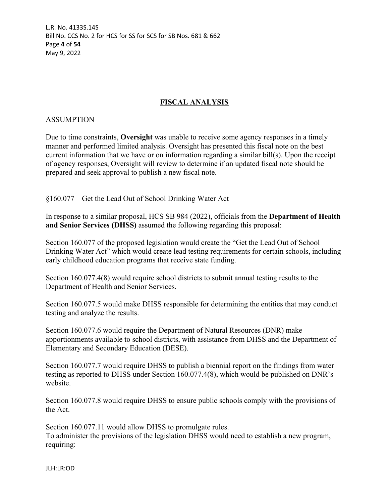L.R. No. 4133S.14S Bill No. CCS No. 2 for HCS for SS for SCS for SB Nos. 681 & 662 Page **4** of **54** May 9, 2022

# **FISCAL ANALYSIS**

#### ASSUMPTION

Due to time constraints, **Oversight** was unable to receive some agency responses in a timely manner and performed limited analysis. Oversight has presented this fiscal note on the best current information that we have or on information regarding a similar bill(s). Upon the receipt of agency responses, Oversight will review to determine if an updated fiscal note should be prepared and seek approval to publish a new fiscal note.

#### §160.077 – Get the Lead Out of School Drinking Water Act

In response to a similar proposal, HCS SB 984 (2022), officials from the **Department of Health and Senior Services (DHSS)** assumed the following regarding this proposal:

Section 160.077 of the proposed legislation would create the "Get the Lead Out of School Drinking Water Act" which would create lead testing requirements for certain schools, including early childhood education programs that receive state funding.

Section 160.077.4(8) would require school districts to submit annual testing results to the Department of Health and Senior Services.

Section 160.077.5 would make DHSS responsible for determining the entities that may conduct testing and analyze the results.

Section 160.077.6 would require the Department of Natural Resources (DNR) make apportionments available to school districts, with assistance from DHSS and the Department of Elementary and Secondary Education (DESE).

Section 160.077.7 would require DHSS to publish a biennial report on the findings from water testing as reported to DHSS under Section 160.077.4(8), which would be published on DNR's website.

Section 160.077.8 would require DHSS to ensure public schools comply with the provisions of the Act.

Section 160.077.11 would allow DHSS to promulgate rules. To administer the provisions of the legislation DHSS would need to establish a new program, requiring: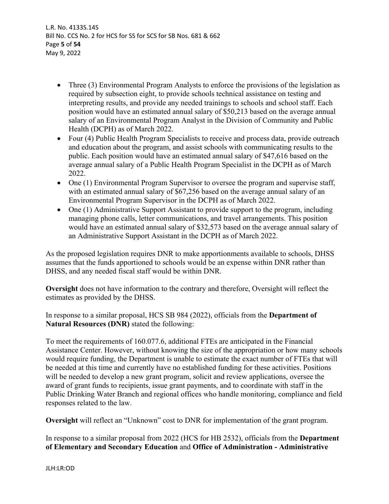L.R. No. 4133S.14S Bill No. CCS No. 2 for HCS for SS for SCS for SB Nos. 681 & 662 Page **5** of **54** May 9, 2022

- Three (3) Environmental Program Analysts to enforce the provisions of the legislation as required by subsection eight, to provide schools technical assistance on testing and interpreting results, and provide any needed trainings to schools and school staff. Each position would have an estimated annual salary of \$50,213 based on the average annual salary of an Environmental Program Analyst in the Division of Community and Public Health (DCPH) as of March 2022.
- Four (4) Public Health Program Specialists to receive and process data, provide outreach and education about the program, and assist schools with communicating results to the public. Each position would have an estimated annual salary of \$47,616 based on the average annual salary of a Public Health Program Specialist in the DCPH as of March 2022.
- One (1) Environmental Program Supervisor to oversee the program and supervise staff, with an estimated annual salary of \$67,256 based on the average annual salary of an Environmental Program Supervisor in the DCPH as of March 2022.
- One (1) Administrative Support Assistant to provide support to the program, including managing phone calls, letter communications, and travel arrangements. This position would have an estimated annual salary of \$32,573 based on the average annual salary of an Administrative Support Assistant in the DCPH as of March 2022.

As the proposed legislation requires DNR to make apportionments available to schools, DHSS assumes that the funds apportioned to schools would be an expense within DNR rather than DHSS, and any needed fiscal staff would be within DNR.

**Oversight** does not have information to the contrary and therefore, Oversight will reflect the estimates as provided by the DHSS.

In response to a similar proposal, HCS SB 984 (2022), officials from the **Department of Natural Resources (DNR)** stated the following:

To meet the requirements of 160.077.6, additional FTEs are anticipated in the Financial Assistance Center. However, without knowing the size of the appropriation or how many schools would require funding, the Department is unable to estimate the exact number of FTEs that will be needed at this time and currently have no established funding for these activities. Positions will be needed to develop a new grant program, solicit and review applications, oversee the award of grant funds to recipients, issue grant payments, and to coordinate with staff in the Public Drinking Water Branch and regional offices who handle monitoring, compliance and field responses related to the law.

**Oversight** will reflect an "Unknown" cost to DNR for implementation of the grant program.

In response to a similar proposal from 2022 (HCS for HB 2532), officials from the **Department of Elementary and Secondary Education** and **Office of Administration - Administrative**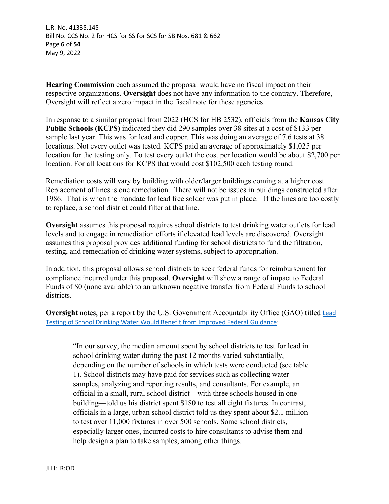L.R. No. 4133S.14S Bill No. CCS No. 2 for HCS for SS for SCS for SB Nos. 681 & 662 Page **6** of **54** May 9, 2022

**Hearing Commission** each assumed the proposal would have no fiscal impact on their respective organizations. **Oversight** does not have any information to the contrary. Therefore, Oversight will reflect a zero impact in the fiscal note for these agencies.

In response to a similar proposal from 2022 (HCS for HB 2532), officials from the **Kansas City Public Schools (KCPS)** indicated they did 290 samples over 38 sites at a cost of \$133 per sample last year. This was for lead and copper. This was doing an average of 7.6 tests at 38 locations. Not every outlet was tested. KCPS paid an average of approximately \$1,025 per location for the testing only. To test every outlet the cost per location would be about \$2,700 per location. For all locations for KCPS that would cost \$102,500 each testing round.

Remediation costs will vary by building with older/larger buildings coming at a higher cost. Replacement of lines is one remediation. There will not be issues in buildings constructed after 1986. That is when the mandate for lead free solder was put in place. If the lines are too costly to replace, a school district could filter at that line.

**Oversight** assumes this proposal requires school districts to test drinking water outlets for lead levels and to engage in remediation efforts if elevated lead levels are discovered. Oversight assumes this proposal provides additional funding for school districts to fund the filtration, testing, and remediation of drinking water systems, subject to appropriation.

In addition, this proposal allows school districts to seek federal funds for reimbursement for compliance incurred under this proposal. **Oversight** will show a range of impact to Federal Funds of \$0 (none available) to an unknown negative transfer from Federal Funds to school districts.

**Oversight** notes, per a report by the U.S. Government Accountability Office (GAO) titled **Lead** [Testing of School Drinking Water Would Benefit from Improved Federal Guidance](https://www.gao.gov/assets/gao-18-382.pdf):

"In our survey, the median amount spent by school districts to test for lead in school drinking water during the past 12 months varied substantially, depending on the number of schools in which tests were conducted (see table 1). School districts may have paid for services such as collecting water samples, analyzing and reporting results, and consultants. For example, an official in a small, rural school district—with three schools housed in one building—told us his district spent \$180 to test all eight fixtures. In contrast, officials in a large, urban school district told us they spent about \$2.1 million to test over 11,000 fixtures in over 500 schools. Some school districts, especially larger ones, incurred costs to hire consultants to advise them and help design a plan to take samples, among other things.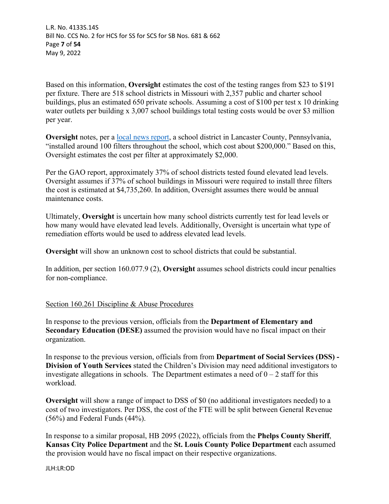L.R. No. 4133S.14S Bill No. CCS No. 2 for HCS for SS for SCS for SB Nos. 681 & 662 Page **7** of **54** May 9, 2022

Based on this information, **Oversight** estimates the cost of the testing ranges from \$23 to \$191 per fixture. There are 518 school districts in Missouri with 2,357 public and charter school buildings, plus an estimated 650 private schools. Assuming a cost of \$100 per test x 10 drinking water outlets per building x 3,007 school buildings total testing costs would be over \$3 million per year.

**Oversight** notes, per a [local news report](https://www.fox43.com/article/news/investigations/fox43-reveals/lead-testing-in-schools-fox43-reveals/521-b47f3a8e-891c-42e2-a36a-82e004dad337), a school district in Lancaster County, Pennsylvania, "installed around 100 filters throughout the school, which cost about \$200,000." Based on this, Oversight estimates the cost per filter at approximately \$2,000.

Per the GAO report, approximately 37% of school districts tested found elevated lead levels. Oversight assumes if 37% of school buildings in Missouri were required to install three filters the cost is estimated at \$4,735,260. In addition, Oversight assumes there would be annual maintenance costs.

Ultimately, **Oversight** is uncertain how many school districts currently test for lead levels or how many would have elevated lead levels. Additionally, Oversight is uncertain what type of remediation efforts would be used to address elevated lead levels.

**Oversight** will show an unknown cost to school districts that could be substantial.

In addition, per section 160.077.9 (2), **Oversight** assumes school districts could incur penalties for non-compliance.

# Section 160.261 Discipline & Abuse Procedures

In response to the previous version, officials from the **Department of Elementary and Secondary Education (DESE)** assumed the provision would have no fiscal impact on their organization.

In response to the previous version, officials from from **Department of Social Services (DSS) - Division of Youth Services** stated the Children's Division may need additional investigators to investigate allegations in schools. The Department estimates a need of  $0 - 2$  staff for this workload.

**Oversight** will show a range of impact to DSS of \$0 (no additional investigators needed) to a cost of two investigators. Per DSS, the cost of the FTE will be split between General Revenue (56%) and Federal Funds (44%).

In response to a similar proposal, HB 2095 (2022), officials from the **Phelps County Sheriff**, **Kansas City Police Department** and the **St. Louis County Police Department** each assumed the provision would have no fiscal impact on their respective organizations.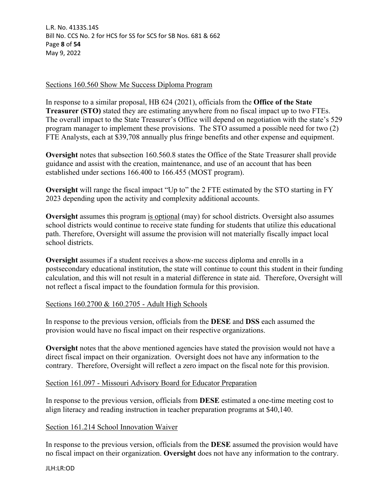#### Sections 160.560 Show Me Success Diploma Program

In response to a similar proposal, HB 624 (2021), officials from the **Office of the State Treasurer (STO)** stated they are estimating anywhere from no fiscal impact up to two FTEs. The overall impact to the State Treasurer's Office will depend on negotiation with the state's 529 program manager to implement these provisions. The STO assumed a possible need for two (2) FTE Analysts, each at \$39,708 annually plus fringe benefits and other expense and equipment.

**Oversight** notes that subsection 160.560.8 states the Office of the State Treasurer shall provide guidance and assist with the creation, maintenance, and use of an account that has been established under sections 166.400 to 166.455 (MOST program).

**Oversight** will range the fiscal impact "Up to" the 2 FTE estimated by the STO starting in FY 2023 depending upon the activity and complexity additional accounts.

**Oversight** assumes this program is optional (may) for school districts. Oversight also assumes school districts would continue to receive state funding for students that utilize this educational path. Therefore, Oversight will assume the provision will not materially fiscally impact local school districts.

**Oversight** assumes if a student receives a show-me success diploma and enrolls in a postsecondary educational institution, the state will continue to count this student in their funding calculation, and this will not result in a material difference in state aid. Therefore, Oversight will not reflect a fiscal impact to the foundation formula for this provision.

# Sections 160.2700 & 160.2705 - Adult High Schools

In response to the previous version, officials from the **DESE** and **DSS** each assumed the provision would have no fiscal impact on their respective organizations.

**Oversight** notes that the above mentioned agencies have stated the provision would not have a direct fiscal impact on their organization. Oversight does not have any information to the contrary. Therefore, Oversight will reflect a zero impact on the fiscal note for this provision.

# Section 161.097 - Missouri Advisory Board for Educator Preparation

In response to the previous version, officials from **DESE** estimated a one-time meeting cost to align literacy and reading instruction in teacher preparation programs at \$40,140.

# Section 161.214 School Innovation Waiver

In response to the previous version, officials from the **DESE** assumed the provision would have no fiscal impact on their organization. **Oversight** does not have any information to the contrary.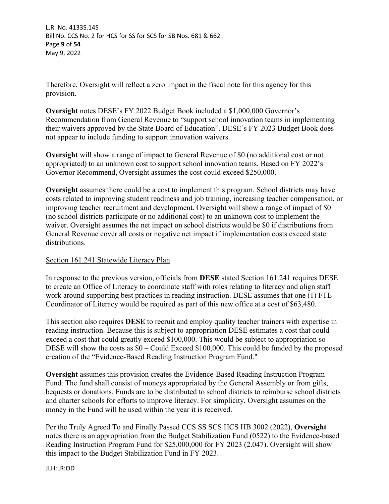L.R. No. 4133S.14S Bill No. CCS No. 2 for HCS for SS for SCS for SB Nos. 681 & 662 Page **9** of **54** May 9, 2022

Therefore, Oversight will reflect a zero impact in the fiscal note for this agency for this provision.

**Oversight** notes DESE's FY 2022 Budget Book included a \$1,000,000 Governor's Recommendation from General Revenue to "support school innovation teams in implementing their waivers approved by the State Board of Education". DESE's FY 2023 Budget Book does not appear to include funding to support innovation waivers.

**Oversight** will show a range of impact to General Revenue of \$0 (no additional cost or not appropriated) to an unknown cost to support school innovation teams. Based on FY 2022's Governor Recommend, Oversight assumes the cost could exceed \$250,000.

**Oversight** assumes there could be a cost to implement this program. School districts may have costs related to improving student readiness and job training, increasing teacher compensation, or improving teacher recruitment and development. Oversight will show a range of impact of \$0 (no school districts participate or no additional cost) to an unknown cost to implement the waiver. Oversight assumes the net impact on school districts would be \$0 if distributions from General Revenue cover all costs or negative net impact if implementation costs exceed state distributions.

# Section 161.241 Statewide Literacy Plan

In response to the previous version, officials from **DESE** stated Section 161.241 requires DESE to create an Office of Literacy to coordinate staff with roles relating to literacy and align staff work around supporting best practices in reading instruction. DESE assumes that one (1) FTE Coordinator of Literacy would be required as part of this new office at a cost of \$63,480.

This section also requires **DESE** to recruit and employ quality teacher trainers with expertise in reading instruction. Because this is subject to appropriation DESE estimates a cost that could exceed a cost that could greatly exceed \$100,000. This would be subject to appropriation so DESE will show the costs as \$0 – Could Exceed \$100,000. This could be funded by the proposed creation of the "Evidence-Based Reading Instruction Program Fund."

**Oversight** assumes this provision creates the Evidence-Based Reading Instruction Program Fund. The fund shall consist of moneys appropriated by the General Assembly or from gifts, bequests or donations. Funds are to be distributed to school districts to reimburse school districts and charter schools for efforts to improve literacy. For simplicity, Oversight assumes on the money in the Fund will be used within the year it is received.

Per the Truly Agreed To and Finally Passed CCS SS SCS HCS HB 3002 (2022), **Oversight** notes there is an appropriation from the Budget Stabilization Fund (0522) to the Evidence-based Reading Instruction Program Fund for \$25,000,000 for FY 2023 (2.047). Oversight will show this impact to the Budget Stabilization Fund in FY 2023.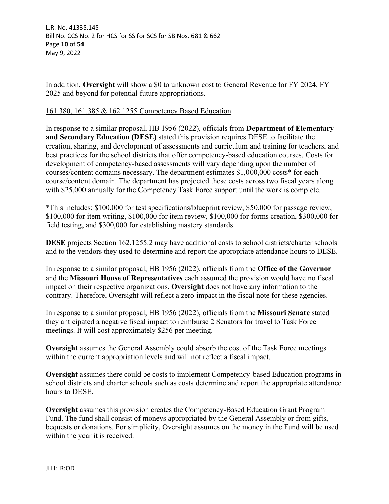L.R. No. 4133S.14S Bill No. CCS No. 2 for HCS for SS for SCS for SB Nos. 681 & 662 Page **10** of **54** May 9, 2022

In addition, **Oversight** will show a \$0 to unknown cost to General Revenue for FY 2024, FY 2025 and beyond for potential future appropriations.

#### 161.380, 161.385 & 162.1255 Competency Based Education

In response to a similar proposal, HB 1956 (2022), officials from **Department of Elementary and Secondary Education (DESE)** stated this provision requires DESE to facilitate the creation, sharing, and development of assessments and curriculum and training for teachers, and best practices for the school districts that offer competency-based education courses. Costs for development of competency-based assessments will vary depending upon the number of courses/content domains necessary. The department estimates \$1,000,000 costs\* for each course/content domain. The department has projected these costs across two fiscal years along with \$25,000 annually for the Competency Task Force support until the work is complete.

\*This includes: \$100,000 for test specifications/blueprint review, \$50,000 for passage review, \$100,000 for item writing, \$100,000 for item review, \$100,000 for forms creation, \$300,000 for field testing, and \$300,000 for establishing mastery standards.

**DESE** projects Section 162.1255.2 may have additional costs to school districts/charter schools and to the vendors they used to determine and report the appropriate attendance hours to DESE.

In response to a similar proposal, HB 1956 (2022), officials from the **Office of the Governor** and the **Missouri House of Representatives** each assumed the provision would have no fiscal impact on their respective organizations. **Oversight** does not have any information to the contrary. Therefore, Oversight will reflect a zero impact in the fiscal note for these agencies.

In response to a similar proposal, HB 1956 (2022), officials from the **Missouri Senate** stated they anticipated a negative fiscal impact to reimburse 2 Senators for travel to Task Force meetings. It will cost approximately \$256 per meeting.

**Oversight** assumes the General Assembly could absorb the cost of the Task Force meetings within the current appropriation levels and will not reflect a fiscal impact.

**Oversight** assumes there could be costs to implement Competency-based Education programs in school districts and charter schools such as costs determine and report the appropriate attendance hours to DESE.

**Oversight** assumes this provision creates the Competency-Based Education Grant Program Fund. The fund shall consist of moneys appropriated by the General Assembly or from gifts, bequests or donations. For simplicity, Oversight assumes on the money in the Fund will be used within the year it is received.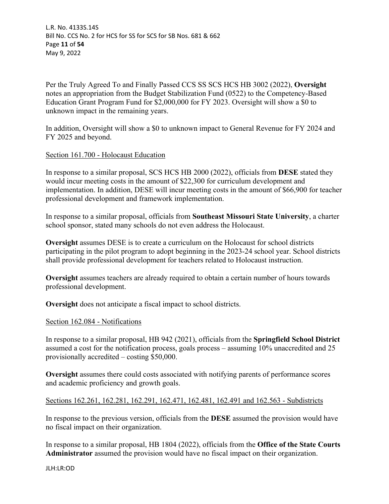L.R. No. 4133S.14S Bill No. CCS No. 2 for HCS for SS for SCS for SB Nos. 681 & 662 Page **11** of **54** May 9, 2022

Per the Truly Agreed To and Finally Passed CCS SS SCS HCS HB 3002 (2022), **Oversight** notes an appropriation from the Budget Stabilization Fund (0522) to the Competency-Based Education Grant Program Fund for \$2,000,000 for FY 2023. Oversight will show a \$0 to unknown impact in the remaining years.

In addition, Oversight will show a \$0 to unknown impact to General Revenue for FY 2024 and FY 2025 and beyond.

#### Section 161.700 - Holocaust Education

In response to a similar proposal, SCS HCS HB 2000 (2022), officials from **DESE** stated they would incur meeting costs in the amount of \$22,300 for curriculum development and implementation. In addition, DESE will incur meeting costs in the amount of \$66,900 for teacher professional development and framework implementation.

In response to a similar proposal, officials from **Southeast Missouri State University**, a charter school sponsor, stated many schools do not even address the Holocaust.

**Oversight** assumes DESE is to create a curriculum on the Holocaust for school districts participating in the pilot program to adopt beginning in the 2023-24 school year. School districts shall provide professional development for teachers related to Holocaust instruction.

**Oversight** assumes teachers are already required to obtain a certain number of hours towards professional development.

**Oversight** does not anticipate a fiscal impact to school districts.

#### Section 162.084 - Notifications

In response to a similar proposal, HB 942 (2021), officials from the **Springfield School District** assumed a cost for the notification process, goals process – assuming 10% unaccredited and 25 provisionally accredited – costing \$50,000.

**Oversight** assumes there could costs associated with notifying parents of performance scores and academic proficiency and growth goals.

#### Sections 162.261, 162.281, 162.291, 162.471, 162.481, 162.491 and 162.563 - Subdistricts

In response to the previous version, officials from the **DESE** assumed the provision would have no fiscal impact on their organization.

In response to a similar proposal, HB 1804 (2022), officials from the **Office of the State Courts Administrator** assumed the provision would have no fiscal impact on their organization.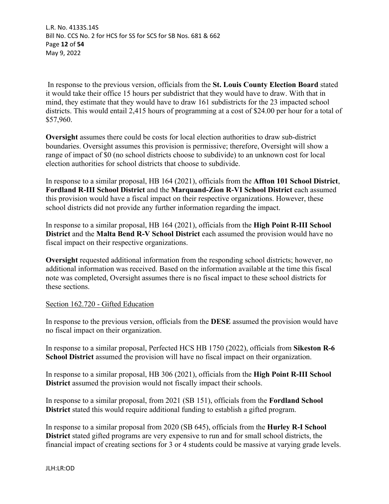L.R. No. 4133S.14S Bill No. CCS No. 2 for HCS for SS for SCS for SB Nos. 681 & 662 Page **12** of **54** May 9, 2022

 In response to the previous version, officials from the **St. Louis County Election Board** stated it would take their office 15 hours per subdistrict that they would have to draw. With that in mind, they estimate that they would have to draw 161 subdistricts for the 23 impacted school districts. This would entail 2,415 hours of programming at a cost of \$24.00 per hour for a total of \$57,960.

**Oversight** assumes there could be costs for local election authorities to draw sub-district boundaries. Oversight assumes this provision is permissive; therefore, Oversight will show a range of impact of \$0 (no school districts choose to subdivide) to an unknown cost for local election authorities for school districts that choose to subdivide.

In response to a similar proposal, HB 164 (2021), officials from the **Affton 101 School District**, **Fordland R-III School District** and the **Marquand-Zion R-VI School District** each assumed this provision would have a fiscal impact on their respective organizations. However, these school districts did not provide any further information regarding the impact.

In response to a similar proposal, HB 164 (2021), officials from the **High Point R-III School District** and the **Malta Bend R-V School District** each assumed the provision would have no fiscal impact on their respective organizations.

**Oversight** requested additional information from the responding school districts; however, no additional information was received. Based on the information available at the time this fiscal note was completed, Oversight assumes there is no fiscal impact to these school districts for these sections.

# Section 162.720 - Gifted Education

In response to the previous version, officials from the **DESE** assumed the provision would have no fiscal impact on their organization.

In response to a similar proposal, Perfected HCS HB 1750 (2022), officials from **Sikeston R-6 School District** assumed the provision will have no fiscal impact on their organization.

In response to a similar proposal, HB 306 (2021), officials from the **High Point R-III School District** assumed the provision would not fiscally impact their schools.

In response to a similar proposal, from 2021 (SB 151), officials from the **Fordland School District** stated this would require additional funding to establish a gifted program.

In response to a similar proposal from 2020 (SB 645), officials from the **Hurley R-I School District** stated gifted programs are very expensive to run and for small school districts, the financial impact of creating sections for 3 or 4 students could be massive at varying grade levels.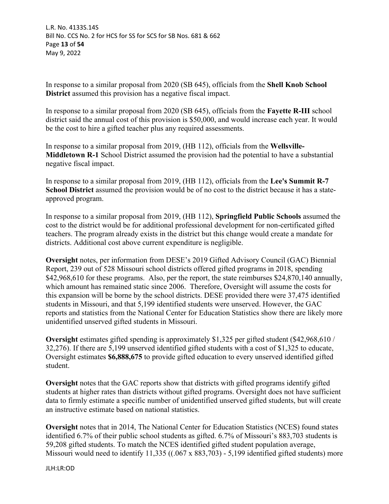In response to a similar proposal from 2020 (SB 645), officials from the **Shell Knob School District** assumed this provision has a negative fiscal impact.

In response to a similar proposal from 2020 (SB 645), officials from the **Fayette R-III** school district said the annual cost of this provision is \$50,000, and would increase each year. It would be the cost to hire a gifted teacher plus any required assessments.

In response to a similar proposal from 2019, (HB 112), officials from the **Wellsville-Middletown R-1** School District assumed the provision had the potential to have a substantial negative fiscal impact.

In response to a similar proposal from 2019, (HB 112), officials from the **Lee's Summit R-7 School District** assumed the provision would be of no cost to the district because it has a stateapproved program.

In response to a similar proposal from 2019, (HB 112), **Springfield Public Schools** assumed the cost to the district would be for additional professional development for non-certificated gifted teachers. The program already exists in the district but this change would create a mandate for districts. Additional cost above current expenditure is negligible.

**Oversight** notes, per information from DESE's 2019 Gifted Advisory Council (GAC) Biennial Report, 239 out of 528 Missouri school districts offered gifted programs in 2018, spending \$42,968,610 for these programs. Also, per the report, the state reimburses \$24,870,140 annually, which amount has remained static since 2006. Therefore, Oversight will assume the costs for this expansion will be borne by the school districts. DESE provided there were 37,475 identified students in Missouri, and that 5,199 identified students were unserved. However, the GAC reports and statistics from the National Center for Education Statistics show there are likely more unidentified unserved gifted students in Missouri.

**Oversight** estimates gifted spending is approximately \$1,325 per gifted student (\$42,968,610 / 32,276). If there are 5,199 unserved identified gifted students with a cost of \$1,325 to educate, Oversight estimates **\$6,888,675** to provide gifted education to every unserved identified gifted student.

**Oversight** notes that the GAC reports show that districts with gifted programs identify gifted students at higher rates than districts without gifted programs. Oversight does not have sufficient data to firmly estimate a specific number of unidentified unserved gifted students, but will create an instructive estimate based on national statistics.

**Oversight** notes that in 2014, The National Center for Education Statistics (NCES) found states identified 6.7% of their public school students as gifted. 6.7% of Missouri's 883,703 students is 59,208 gifted students. To match the NCES identified gifted student population average, Missouri would need to identify 11,335 ((.067 x 883,703) - 5,199 identified gifted students) more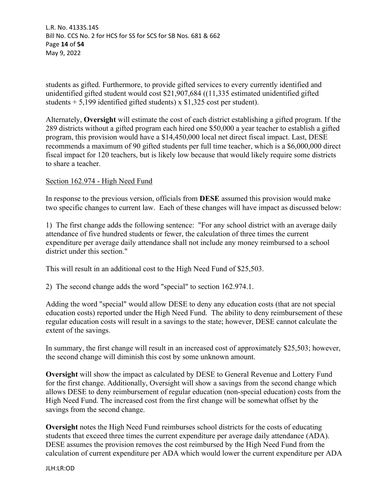L.R. No. 4133S.14S Bill No. CCS No. 2 for HCS for SS for SCS for SB Nos. 681 & 662 Page **14** of **54** May 9, 2022

students as gifted. Furthermore, to provide gifted services to every currently identified and unidentified gifted student would cost \$21,907,684 ((11,335 estimated unidentified gifted students  $+ 5,199$  identified gifted students) x \$1,325 cost per student).

Alternately, **Oversight** will estimate the cost of each district establishing a gifted program. If the 289 districts without a gifted program each hired one \$50,000 a year teacher to establish a gifted program, this provision would have a \$14,450,000 local net direct fiscal impact. Last, DESE recommends a maximum of 90 gifted students per full time teacher, which is a \$6,000,000 direct fiscal impact for 120 teachers, but is likely low because that would likely require some districts to share a teacher.

# Section 162.974 - High Need Fund

In response to the previous version, officials from **DESE** assumed this provision would make two specific changes to current law. Each of these changes will have impact as discussed below:

1) The first change adds the following sentence: "For any school district with an average daily attendance of five hundred students or fewer, the calculation of three times the current expenditure per average daily attendance shall not include any money reimbursed to a school district under this section."

This will result in an additional cost to the High Need Fund of \$25,503.

2) The second change adds the word "special" to section 162.974.1.

Adding the word "special" would allow DESE to deny any education costs (that are not special education costs) reported under the High Need Fund. The ability to deny reimbursement of these regular education costs will result in a savings to the state; however, DESE cannot calculate the extent of the savings.

In summary, the first change will result in an increased cost of approximately \$25,503; however, the second change will diminish this cost by some unknown amount.

**Oversight** will show the impact as calculated by DESE to General Revenue and Lottery Fund for the first change. Additionally, Oversight will show a savings from the second change which allows DESE to deny reimbursement of regular education (non-special education) costs from the High Need Fund. The increased cost from the first change will be somewhat offset by the savings from the second change.

**Oversight** notes the High Need Fund reimburses school districts for the costs of educating students that exceed three times the current expenditure per average daily attendance (ADA). DESE assumes the provision removes the cost reimbursed by the High Need Fund from the calculation of current expenditure per ADA which would lower the current expenditure per ADA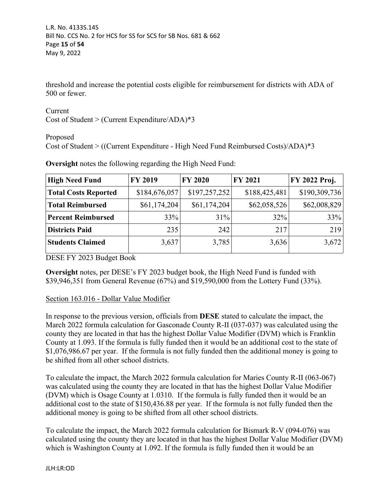threshold and increase the potential costs eligible for reimbursement for districts with ADA of 500 or fewer.

Current Cost of Student > (Current Expenditure/ADA)\*3

Proposed

Cost of Student > ((Current Expenditure - High Need Fund Reimbursed Costs)/ADA)\*3

| <b>High Need Fund</b>       | <b>FY 2019</b> | <b>FY 2020</b> | <b>FY 2021</b> | FY 2022 Proj. |
|-----------------------------|----------------|----------------|----------------|---------------|
| <b>Total Costs Reported</b> | \$184,676,057  | \$197,257,252  | \$188,425,481  | \$190,309,736 |
| <b>Total Reimbursed</b>     | \$61,174,204   | \$61,174,204   | \$62,058,526   | \$62,008,829  |
| <b>Percent Reimbursed</b>   | 33%            | 31%            | 32%            | 33%           |
| <b>Districts Paid</b>       | 235            | 242            | 217            | 219           |
| <b>Students Claimed</b>     | 3,637          | 3,785          | 3,636          | 3,672         |

**Oversight** notes the following regarding the High Need Fund:

DESE FY 2023 Budget Book

**Oversight** notes, per DESE's FY 2023 budget book, the High Need Fund is funded with \$39,946,351 from General Revenue (67%) and \$19,590,000 from the Lottery Fund (33%).

# Section 163.016 - Dollar Value Modifier

In response to the previous version, officials from **DESE** stated to calculate the impact, the March 2022 formula calculation for Gasconade County R-II (037-037) was calculated using the county they are located in that has the highest Dollar Value Modifier (DVM) which is Franklin County at 1.093. If the formula is fully funded then it would be an additional cost to the state of \$1,076,986.67 per year. If the formula is not fully funded then the additional money is going to be shifted from all other school districts.

To calculate the impact, the March 2022 formula calculation for Maries County R-II (063-067) was calculated using the county they are located in that has the highest Dollar Value Modifier (DVM) which is Osage County at 1.0310. If the formula is fully funded then it would be an additional cost to the state of \$150,436.88 per year. If the formula is not fully funded then the additional money is going to be shifted from all other school districts.

To calculate the impact, the March 2022 formula calculation for Bismark R-V (094-076) was calculated using the county they are located in that has the highest Dollar Value Modifier (DVM) which is Washington County at 1.092. If the formula is fully funded then it would be an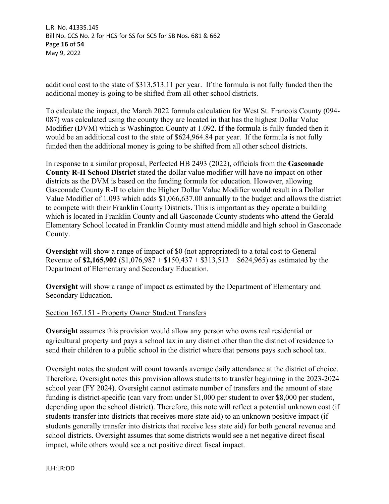L.R. No. 4133S.14S Bill No. CCS No. 2 for HCS for SS for SCS for SB Nos. 681 & 662 Page **16** of **54** May 9, 2022

additional cost to the state of \$313,513.11 per year. If the formula is not fully funded then the additional money is going to be shifted from all other school districts.

To calculate the impact, the March 2022 formula calculation for West St. Francois County (094- 087) was calculated using the county they are located in that has the highest Dollar Value Modifier (DVM) which is Washington County at 1.092. If the formula is fully funded then it would be an additional cost to the state of \$624,964.84 per year. If the formula is not fully funded then the additional money is going to be shifted from all other school districts.

In response to a similar proposal, Perfected HB 2493 (2022), officials from the **Gasconade County R-II School District** stated the dollar value modifier will have no impact on other districts as the DVM is based on the funding formula for education. However, allowing Gasconade County R-II to claim the Higher Dollar Value Modifier would result in a Dollar Value Modifier of 1.093 which adds \$1,066,637.00 annually to the budget and allows the district to compete with their Franklin County Districts. This is important as they operate a building which is located in Franklin County and all Gasconade County students who attend the Gerald Elementary School located in Franklin County must attend middle and high school in Gasconade County.

**Oversight** will show a range of impact of \$0 (not appropriated) to a total cost to General Revenue of **\$2,165,902** (\$1,076,987 + \$150,437 + \$313,513 + \$624,965) as estimated by the Department of Elementary and Secondary Education.

**Oversight** will show a range of impact as estimated by the Department of Elementary and Secondary Education.

# Section 167.151 - Property Owner Student Transfers

**Oversight** assumes this provision would allow any person who owns real residential or agricultural property and pays a school tax in any district other than the district of residence to send their children to a public school in the district where that persons pays such school tax.

Oversight notes the student will count towards average daily attendance at the district of choice. Therefore, Oversight notes this provision allows students to transfer beginning in the 2023-2024 school year (FY 2024). Oversight cannot estimate number of transfers and the amount of state funding is district-specific (can vary from under \$1,000 per student to over \$8,000 per student, depending upon the school district). Therefore, this note will reflect a potential unknown cost (if students transfer into districts that receives more state aid) to an unknown positive impact (if students generally transfer into districts that receive less state aid) for both general revenue and school districts. Oversight assumes that some districts would see a net negative direct fiscal impact, while others would see a net positive direct fiscal impact.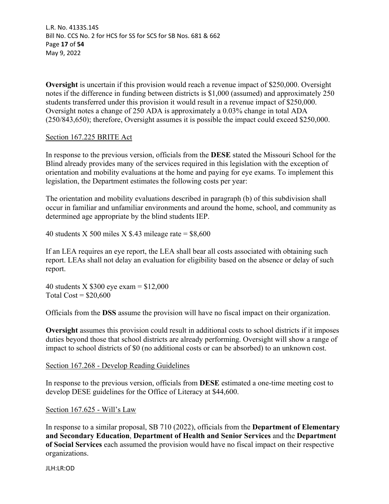L.R. No. 4133S.14S Bill No. CCS No. 2 for HCS for SS for SCS for SB Nos. 681 & 662 Page **17** of **54** May 9, 2022

**Oversight** is uncertain if this provision would reach a revenue impact of \$250,000. Oversight notes if the difference in funding between districts is \$1,000 (assumed) and approximately 250 students transferred under this provision it would result in a revenue impact of \$250,000. Oversight notes a change of 250 ADA is approximately a 0.03% change in total ADA (250/843,650); therefore, Oversight assumes it is possible the impact could exceed \$250,000.

#### Section 167.225 BRITE Act

In response to the previous version, officials from the **DESE** stated the Missouri School for the Blind already provides many of the services required in this legislation with the exception of orientation and mobility evaluations at the home and paying for eye exams. To implement this legislation, the Department estimates the following costs per year:

The orientation and mobility evaluations described in paragraph (b) of this subdivision shall occur in familiar and unfamiliar environments and around the home, school, and community as determined age appropriate by the blind students IEP.

40 students X 500 miles X \$.43 mileage rate =  $$8,600$ 

If an LEA requires an eye report, the LEA shall bear all costs associated with obtaining such report. LEAs shall not delay an evaluation for eligibility based on the absence or delay of such report.

40 students X  $$300$  eye exam =  $$12,000$ Total  $Cost = $20,600$ 

Officials from the **DSS** assume the provision will have no fiscal impact on their organization.

**Oversight** assumes this provision could result in additional costs to school districts if it imposes duties beyond those that school districts are already performing. Oversight will show a range of impact to school districts of \$0 (no additional costs or can be absorbed) to an unknown cost.

#### Section 167.268 - Develop Reading Guidelines

In response to the previous version, officials from **DESE** estimated a one-time meeting cost to develop DESE guidelines for the Office of Literacy at \$44,600.

# Section 167.625 - Will's Law

In response to a similar proposal, SB 710 (2022), officials from the **Department of Elementary and Secondary Education**, **Department of Health and Senior Services** and the **Department of Social Services** each assumed the provision would have no fiscal impact on their respective organizations.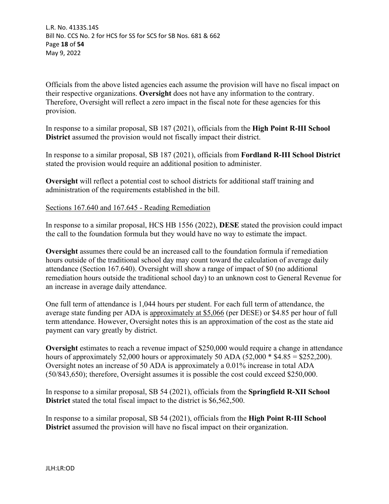L.R. No. 4133S.14S Bill No. CCS No. 2 for HCS for SS for SCS for SB Nos. 681 & 662 Page **18** of **54** May 9, 2022

Officials from the above listed agencies each assume the provision will have no fiscal impact on their respective organizations. **Oversight** does not have any information to the contrary. Therefore, Oversight will reflect a zero impact in the fiscal note for these agencies for this provision.

In response to a similar proposal, SB 187 (2021), officials from the **High Point R-III School District** assumed the provision would not fiscally impact their district.

In response to a similar proposal, SB 187 (2021), officials from **Fordland R-III School District** stated the provision would require an additional position to administer.

**Oversight** will reflect a potential cost to school districts for additional staff training and administration of the requirements established in the bill.

Sections 167.640 and 167.645 - Reading Remediation

In response to a similar proposal, HCS HB 1556 (2022), **DESE** stated the provision could impact the call to the foundation formula but they would have no way to estimate the impact.

**Oversight** assumes there could be an increased call to the foundation formula if remediation hours outside of the traditional school day may count toward the calculation of average daily attendance (Section 167.640). Oversight will show a range of impact of \$0 (no additional remediation hours outside the traditional school day) to an unknown cost to General Revenue for an increase in average daily attendance.

One full term of attendance is 1,044 hours per student. For each full term of attendance, the average state funding per ADA is approximately at \$5,066 (per DESE) or \$4.85 per hour of full term attendance. However, Oversight notes this is an approximation of the cost as the state aid payment can vary greatly by district.

**Oversight** estimates to reach a revenue impact of \$250,000 would require a change in attendance hours of approximately 52,000 hours or approximately 50 ADA (52,000  $*$  \$4.85 = \$252,200). Oversight notes an increase of 50 ADA is approximately a 0.01% increase in total ADA (50/843,650); therefore, Oversight assumes it is possible the cost could exceed \$250,000.

In response to a similar proposal, SB 54 (2021), officials from the **Springfield R-XII School District** stated the total fiscal impact to the district is \$6,562,500.

In response to a similar proposal, SB 54 (2021), officials from the **High Point R-III School District** assumed the provision will have no fiscal impact on their organization.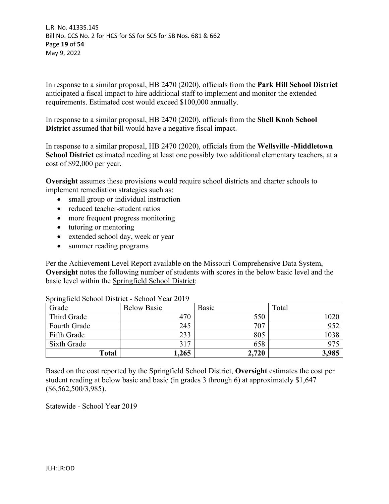L.R. No. 4133S.14S Bill No. CCS No. 2 for HCS for SS for SCS for SB Nos. 681 & 662 Page **19** of **54** May 9, 2022

In response to a similar proposal, HB 2470 (2020), officials from the **Park Hill School District**  anticipated a fiscal impact to hire additional staff to implement and monitor the extended requirements. Estimated cost would exceed \$100,000 annually.

In response to a similar proposal, HB 2470 (2020), officials from the **Shell Knob School District** assumed that bill would have a negative fiscal impact.

In response to a similar proposal, HB 2470 (2020), officials from the **Wellsville -Middletown School District** estimated needing at least one possibly two additional elementary teachers, at a cost of \$92,000 per year.

**Oversight** assumes these provisions would require school districts and charter schools to implement remediation strategies such as:

- small group or individual instruction
- reduced teacher-student ratios
- more frequent progress monitoring
- tutoring or mentoring
- extended school day, week or year
- summer reading programs

Per the Achievement Level Report available on the Missouri Comprehensive Data System, **Oversight** notes the following number of students with scores in the below basic level and the basic level within the Springfield School District:

| Grade        | <b>Below Basic</b> | Basic | Total |
|--------------|--------------------|-------|-------|
| Third Grade  | 470                | 550   | 020   |
| Fourth Grade | 245                | 707   | 952   |
| Fifth Grade  | 233                | 805   | 1038  |
| Sixth Grade  | 317                | 658   |       |
| <b>Total</b> | 1,265              | 2,720 | 3,985 |

Springfield School District - School Year 2019

Based on the cost reported by the Springfield School District, **Oversight** estimates the cost per student reading at below basic and basic (in grades 3 through 6) at approximately \$1,647 (\$6,562,500/3,985).

Statewide - School Year 2019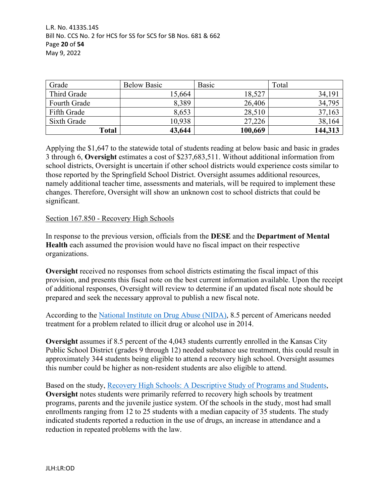| Grade               | <b>Below Basic</b> | <b>Basic</b> | Total   |
|---------------------|--------------------|--------------|---------|
| Third Grade         | 15,664             | 18,527       | 34,191  |
| <b>Fourth Grade</b> | 8,389              | 26,406       | 34,795  |
| Fifth Grade         | 8,653              | 28,510       | 37,163  |
| Sixth Grade         | 10,938             | 27,226       | 38,164  |
| Total               | 43,644             | 100,669      | 144,313 |

Applying the \$1,647 to the statewide total of students reading at below basic and basic in grades 3 through 6, **Oversight** estimates a cost of \$237,683,511. Without additional information from school districts, Oversight is uncertain if other school districts would experience costs similar to those reported by the Springfield School District. Oversight assumes additional resources, namely additional teacher time, assessments and materials, will be required to implement these changes. Therefore, Oversight will show an unknown cost to school districts that could be significant.

# Section 167.850 - Recovery High Schools

In response to the previous version, officials from the **DESE** and the **Department of Mental Health** each assumed the provision would have no fiscal impact on their respective organizations.

**Oversight** received no responses from school districts estimating the fiscal impact of this provision, and presents this fiscal note on the best current information available. Upon the receipt of additional responses, Oversight will review to determine if an updated fiscal note should be prepared and seek the necessary approval to publish a new fiscal note.

According to the [National Institute on Drug Abuse \(NIDA\),](https://nida.nih.gov/publications/drugfacts/treatment-approaches-drug-addiction) 8.5 percent of Americans needed treatment for a problem related to illicit drug or alcohol use in 2014.

**Oversight** assumes if 8.5 percent of the 4,043 students currently enrolled in the Kansas City Public School District (grades 9 through 12) needed substance use treatment, this could result in approximately 344 students being eligible to attend a recovery high school. Oversight assumes this number could be higher as non-resident students are also eligible to attend.

Based on the study, [Recovery High Schools: A Descriptive Study of Programs and Students,](https://www.ncbi.nlm.nih.gov/pmc/articles/PMC2629137/) **Oversight** notes students were primarily referred to recovery high schools by treatment programs, parents and the juvenile justice system. Of the schools in the study, most had small enrollments ranging from 12 to 25 students with a median capacity of 35 students. The study indicated students reported a reduction in the use of drugs, an increase in attendance and a reduction in repeated problems with the law.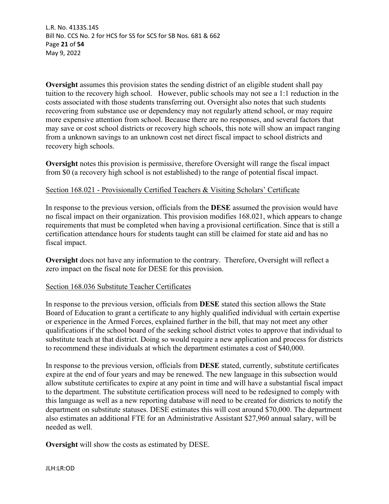L.R. No. 4133S.14S Bill No. CCS No. 2 for HCS for SS for SCS for SB Nos. 681 & 662 Page **21** of **54** May 9, 2022

**Oversight** assumes this provision states the sending district of an eligible student shall pay tuition to the recovery high school. However, public schools may not see a 1:1 reduction in the costs associated with those students transferring out. Oversight also notes that such students recovering from substance use or dependency may not regularly attend school, or may require more expensive attention from school. Because there are no responses, and several factors that may save or cost school districts or recovery high schools, this note will show an impact ranging from a unknown savings to an unknown cost net direct fiscal impact to school districts and recovery high schools.

**Oversight** notes this provision is permissive, therefore Oversight will range the fiscal impact from \$0 (a recovery high school is not established) to the range of potential fiscal impact.

#### Section 168.021 - Provisionally Certified Teachers & Visiting Scholars' Certificate

In response to the previous version, officials from the **DESE** assumed the provision would have no fiscal impact on their organization. This provision modifies 168.021, which appears to change requirements that must be completed when having a provisional certification. Since that is still a certification attendance hours for students taught can still be claimed for state aid and has no fiscal impact.

**Oversight** does not have any information to the contrary. Therefore, Oversight will reflect a zero impact on the fiscal note for DESE for this provision.

# Section 168.036 Substitute Teacher Certificates

In response to the previous version, officials from **DESE** stated this section allows the State Board of Education to grant a certificate to any highly qualified individual with certain expertise or experience in the Armed Forces, explained further in the bill, that may not meet any other qualifications if the school board of the seeking school district votes to approve that individual to substitute teach at that district. Doing so would require a new application and process for districts to recommend these individuals at which the department estimates a cost of \$40,000.

In response to the previous version, officials from **DESE** stated, currently, substitute certificates expire at the end of four years and may be renewed. The new language in this subsection would allow substitute certificates to expire at any point in time and will have a substantial fiscal impact to the department. The substitute certification process will need to be redesigned to comply with this language as well as a new reporting database will need to be created for districts to notify the department on substitute statuses. DESE estimates this will cost around \$70,000. The department also estimates an additional FTE for an Administrative Assistant \$27,960 annual salary, will be needed as well.

**Oversight** will show the costs as estimated by DESE.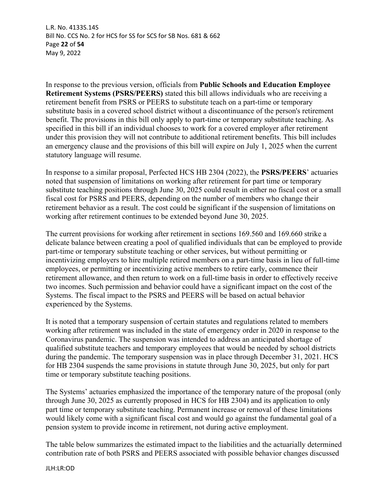L.R. No. 4133S.14S Bill No. CCS No. 2 for HCS for SS for SCS for SB Nos. 681 & 662 Page **22** of **54** May 9, 2022

In response to the previous version, officials from **Public Schools and Education Employee Retirement Systems (PSRS/PEERS)** stated this bill allows individuals who are receiving a retirement benefit from PSRS or PEERS to substitute teach on a part-time or temporary substitute basis in a covered school district without a discontinuance of the person's retirement benefit. The provisions in this bill only apply to part-time or temporary substitute teaching. As specified in this bill if an individual chooses to work for a covered employer after retirement under this provision they will not contribute to additional retirement benefits. This bill includes an emergency clause and the provisions of this bill will expire on July 1, 2025 when the current statutory language will resume.

In response to a similar proposal, Perfected HCS HB 2304 (2022), the **PSRS/PEERS**' actuaries noted that suspension of limitations on working after retirement for part time or temporary substitute teaching positions through June 30, 2025 could result in either no fiscal cost or a small fiscal cost for PSRS and PEERS, depending on the number of members who change their retirement behavior as a result. The cost could be significant if the suspension of limitations on working after retirement continues to be extended beyond June 30, 2025.

The current provisions for working after retirement in sections 169.560 and 169.660 strike a delicate balance between creating a pool of qualified individuals that can be employed to provide part-time or temporary substitute teaching or other services, but without permitting or incentivizing employers to hire multiple retired members on a part-time basis in lieu of full-time employees, or permitting or incentivizing active members to retire early, commence their retirement allowance, and then return to work on a full-time basis in order to effectively receive two incomes. Such permission and behavior could have a significant impact on the cost of the Systems. The fiscal impact to the PSRS and PEERS will be based on actual behavior experienced by the Systems.

It is noted that a temporary suspension of certain statutes and regulations related to members working after retirement was included in the state of emergency order in 2020 in response to the Coronavirus pandemic. The suspension was intended to address an anticipated shortage of qualified substitute teachers and temporary employees that would be needed by school districts during the pandemic. The temporary suspension was in place through December 31, 2021. HCS for HB 2304 suspends the same provisions in statute through June 30, 2025, but only for part time or temporary substitute teaching positions.

The Systems' actuaries emphasized the importance of the temporary nature of the proposal (only through June 30, 2025 as currently proposed in HCS for HB 2304) and its application to only part time or temporary substitute teaching. Permanent increase or removal of these limitations would likely come with a significant fiscal cost and would go against the fundamental goal of a pension system to provide income in retirement, not during active employment.

The table below summarizes the estimated impact to the liabilities and the actuarially determined contribution rate of both PSRS and PEERS associated with possible behavior changes discussed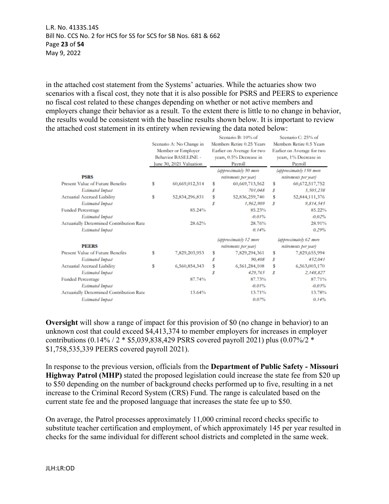in the attached cost statement from the Systems' actuaries. While the actuaries show two scenarios with a fiscal cost, they note that it is also possible for PSRS and PEERS to experience no fiscal cost related to these changes depending on whether or not active members and employers change their behavior as a result. To the extent there is little to no change in behavior, the results would be consistent with the baseline results shown below. It is important to review the attached cost statement in its entirety when reviewing the data noted below: **Contract of** 

|                                                 |                          |                            |                           | Scenano B: 10% of          |                          | Scenano C: 25% of          |
|-------------------------------------------------|--------------------------|----------------------------|---------------------------|----------------------------|--------------------------|----------------------------|
|                                                 | Scenario A: No Change in |                            | Members Retire 0.25 Years |                            | Members Retire 0.5 Years |                            |
|                                                 | Member or Employer       |                            |                           | Earlier on Average for two |                          | Earlier on Average for two |
|                                                 |                          | <b>Behavior BASELINE -</b> |                           | years, 0.5% Decrease in    |                          | vears, 1% Decrease in      |
|                                                 |                          | June 30, 2021 Valuation    |                           | Payroll                    |                          | Payroll                    |
|                                                 |                          |                            |                           | (approximately 30 more     |                          | (approximately 150 more    |
| <b>PSRS</b>                                     |                          |                            |                           | retirements per year)      |                          | retirements per year)      |
| <b>Present Value of Future Benefits</b>         | s                        | 60,669,012,514             | s                         | 60,669,713,562             | s                        | 60,672,517,752             |
| <b>Estimated Impact</b>                         |                          |                            | Ŝ                         | 701.048                    | s                        | 3,505,238                  |
| <b>Actuarial Accrued Liability</b>              | s                        | 52,834,296,831             | Ŝ                         | 52,836,259,740             | Ŝ                        | 52,844,111,376             |
| <b>Estimated Impact</b>                         |                          |                            | s                         | 1,962,909                  | s                        | 9.814.545                  |
| <b>Funded Percentage</b>                        |                          | 85.24%                     |                           | 85.23%                     |                          | 85.22%                     |
| <b>Estimated Impact</b>                         |                          |                            |                           | $-0.01%$                   |                          | $-0.02%$                   |
| <b>Actuarially Determined Contribution Rate</b> |                          | 28.62%                     |                           | 28.76%                     |                          | 28.91%                     |
| <b>Estimated Impact</b>                         |                          |                            |                           | 0.14%                      |                          | 0.29%                      |
|                                                 |                          |                            |                           | (approximately 12 more     |                          | (approximately 62 more     |
| <b>PEERS</b>                                    |                          |                            |                           | retirements per year)      |                          | retirements per year)      |
| <b>Present Value of Future Benefits</b>         | s                        | 7,829,203,953              | s                         | 7,829,294,361              | s                        | 7,829,655,994              |
| <b>Estimated Impact</b>                         |                          |                            | s                         | 90,408                     | s                        | 452,041                    |
| <b>Actuarial Accrued Liability</b>              | s                        | 6,560,854,343              | Ŝ                         | 6,561,284,108              | s                        | 6,563,003,170              |
| <b>Estimated Impact</b>                         |                          |                            | Š                         | 429,765                    | s                        | 2,148,827                  |
| <b>Funded Percentage</b>                        |                          | 87.74%                     |                           | 87.73%                     |                          | 87.71%                     |
| <b>Estimated Impact</b>                         |                          |                            |                           | $-0.01%$                   |                          | $-0.03%$                   |
| Actuarially Determined Contribution Rate        |                          | 13.64%                     |                           | 13.71%                     |                          | 13.78%                     |
| <b>Estimated Impact</b>                         |                          |                            |                           | 0.07%                      |                          | 0.14%                      |
|                                                 |                          |                            |                           |                            |                          |                            |

**Oversight** will show a range of impact for this provision of \$0 (no change in behavior) to an unknown cost that could exceed \$4,413,374 to member employers for increases in employer contributions (0.14% / 2 \* \$5,039,838,429 PSRS covered payroll 2021) plus (0.07%/2 \* \$1,758,535,339 PEERS covered payroll 2021).

In response to the previous version, officials from the **Department of Public Safety - Missouri Highway Patrol (MHP)** stated the proposed legislation could increase the state fee from \$20 up to \$50 depending on the number of background checks performed up to five, resulting in a net increase to the Criminal Record System (CRS) Fund. The range is calculated based on the current state fee and the proposed language that increases the state fee up to \$50.

On average, the Patrol processes approximately 11,000 criminal record checks specific to substitute teacher certification and employment, of which approximately 145 per year resulted in checks for the same individual for different school districts and completed in the same week.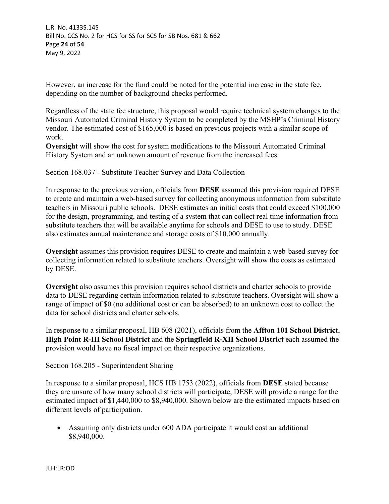However, an increase for the fund could be noted for the potential increase in the state fee, depending on the number of background checks performed.

Regardless of the state fee structure, this proposal would require technical system changes to the Missouri Automated Criminal History System to be completed by the MSHP's Criminal History vendor. The estimated cost of \$165,000 is based on previous projects with a similar scope of work.

**Oversight** will show the cost for system modifications to the Missouri Automated Criminal History System and an unknown amount of revenue from the increased fees.

#### Section 168.037 - Substitute Teacher Survey and Data Collection

In response to the previous version, officials from **DESE** assumed this provision required DESE to create and maintain a web-based survey for collecting anonymous information from substitute teachers in Missouri public schools. DESE estimates an initial costs that could exceed \$100,000 for the design, programming, and testing of a system that can collect real time information from substitute teachers that will be available anytime for schools and DESE to use to study. DESE also estimates annual maintenance and storage costs of \$10,000 annually.

**Oversight** assumes this provision requires DESE to create and maintain a web-based survey for collecting information related to substitute teachers. Oversight will show the costs as estimated by DESE.

**Oversight** also assumes this provision requires school districts and charter schools to provide data to DESE regarding certain information related to substitute teachers. Oversight will show a range of impact of \$0 (no additional cost or can be absorbed) to an unknown cost to collect the data for school districts and charter schools.

In response to a similar proposal, HB 608 (2021), officials from the **Affton 101 School District**, **High Point R-III School District** and the **Springfield R-XII School District** each assumed the provision would have no fiscal impact on their respective organizations.

#### Section 168.205 - Superintendent Sharing

In response to a similar proposal, HCS HB 1753 (2022), officials from **DESE** stated because they are unsure of how many school districts will participate, DESE will provide a range for the estimated impact of \$1,440,000 to \$8,940,000. Shown below are the estimated impacts based on different levels of participation.

 Assuming only districts under 600 ADA participate it would cost an additional \$8,940,000.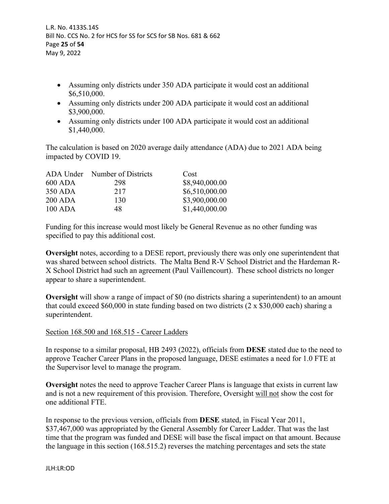- Assuming only districts under 350 ADA participate it would cost an additional \$6,510,000.
- Assuming only districts under 200 ADA participate it would cost an additional \$3,900,000.
- Assuming only districts under 100 ADA participate it would cost an additional \$1,440,000.

The calculation is based on 2020 average daily attendance (ADA) due to 2021 ADA being impacted by COVID 19.

|                | ADA Under Number of Districts | Cost           |
|----------------|-------------------------------|----------------|
| 600 ADA        | 298                           | \$8,940,000.00 |
| 350 ADA        | 217                           | \$6,510,000.00 |
| <b>200 ADA</b> | 130                           | \$3,900,000.00 |
| $100$ ADA      | 48                            | \$1,440,000.00 |

Funding for this increase would most likely be General Revenue as no other funding was specified to pay this additional cost.

**Oversight** notes, according to a DESE report, previously there was only one superintendent that was shared between school districts. The Malta Bend R-V School District and the Hardeman R-X School District had such an agreement (Paul Vaillencourt). These school districts no longer appear to share a superintendent.

**Oversight** will show a range of impact of \$0 (no districts sharing a superintendent) to an amount that could exceed \$60,000 in state funding based on two districts  $(2 \times $30,000$  each) sharing a superintendent.

# Section 168.500 and 168.515 - Career Ladders

In response to a similar proposal, HB 2493 (2022), officials from **DESE** stated due to the need to approve Teacher Career Plans in the proposed language, DESE estimates a need for 1.0 FTE at the Supervisor level to manage the program.

**Oversight** notes the need to approve Teacher Career Plans is language that exists in current law and is not a new requirement of this provision. Therefore, Oversight will not show the cost for one additional FTE.

In response to the previous version, officials from **DESE** stated, in Fiscal Year 2011, \$37,467,000 was appropriated by the General Assembly for Career Ladder. That was the last time that the program was funded and DESE will base the fiscal impact on that amount. Because the language in this section (168.515.2) reverses the matching percentages and sets the state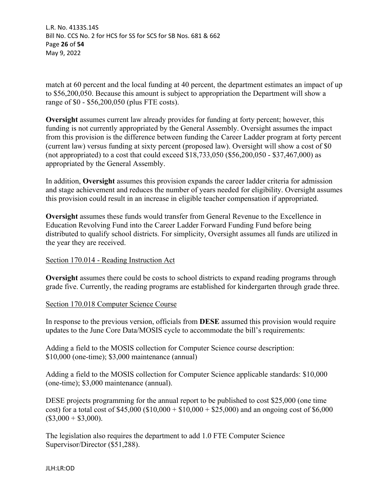L.R. No. 4133S.14S Bill No. CCS No. 2 for HCS for SS for SCS for SB Nos. 681 & 662 Page **26** of **54** May 9, 2022

match at 60 percent and the local funding at 40 percent, the department estimates an impact of up to \$56,200,050. Because this amount is subject to appropriation the Department will show a range of \$0 - \$56,200,050 (plus FTE costs).

**Oversight** assumes current law already provides for funding at forty percent; however, this funding is not currently appropriated by the General Assembly. Oversight assumes the impact from this provision is the difference between funding the Career Ladder program at forty percent (current law) versus funding at sixty percent (proposed law). Oversight will show a cost of \$0 (not appropriated) to a cost that could exceed \$18,733,050 (\$56,200,050 - \$37,467,000) as appropriated by the General Assembly.

In addition, **Oversight** assumes this provision expands the career ladder criteria for admission and stage achievement and reduces the number of years needed for eligibility. Oversight assumes this provision could result in an increase in eligible teacher compensation if appropriated.

**Oversight** assumes these funds would transfer from General Revenue to the Excellence in Education Revolving Fund into the Career Ladder Forward Funding Fund before being distributed to qualify school districts. For simplicity, Oversight assumes all funds are utilized in the year they are received.

# Section 170.014 - Reading Instruction Act

**Oversight** assumes there could be costs to school districts to expand reading programs through grade five. Currently, the reading programs are established for kindergarten through grade three.

# Section 170.018 Computer Science Course

In response to the previous version, officials from **DESE** assumed this provision would require updates to the June Core Data/MOSIS cycle to accommodate the bill's requirements:

Adding a field to the MOSIS collection for Computer Science course description: \$10,000 (one-time); \$3,000 maintenance (annual)

Adding a field to the MOSIS collection for Computer Science applicable standards: \$10,000 (one-time); \$3,000 maintenance (annual).

DESE projects programming for the annual report to be published to cost \$25,000 (one time cost) for a total cost of \$45,000 (\$10,000 + \$10,000 + \$25,000) and an ongoing cost of \$6,000  $($3,000 + $3,000).$ 

The legislation also requires the department to add 1.0 FTE Computer Science Supervisor/Director (\$51,288).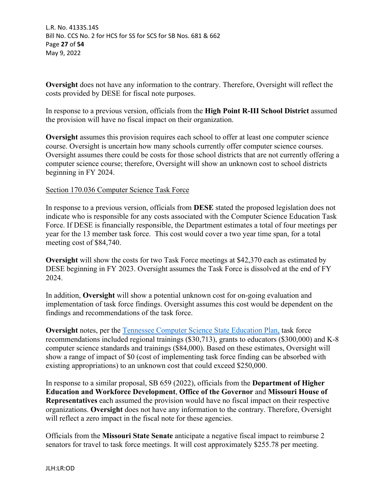**Oversight** does not have any information to the contrary. Therefore, Oversight will reflect the costs provided by DESE for fiscal note purposes.

In response to a previous version, officials from the **High Point R-III School District** assumed the provision will have no fiscal impact on their organization.

**Oversight** assumes this provision requires each school to offer at least one computer science course. Oversight is uncertain how many schools currently offer computer science courses. Oversight assumes there could be costs for those school districts that are not currently offering a computer science course; therefore, Oversight will show an unknown cost to school districts beginning in FY 2024.

Section 170.036 Computer Science Task Force

In response to a previous version, officials from **DESE** stated the proposed legislation does not indicate who is responsible for any costs associated with the Computer Science Education Task Force. If DESE is financially responsible, the Department estimates a total of four meetings per year for the 13 member task force. This cost would cover a two year time span, for a total meeting cost of \$84,740.

**Oversight** will show the costs for two Task Force meetings at \$42,370 each as estimated by DESE beginning in FY 2023. Oversight assumes the Task Force is dissolved at the end of FY 2024.

In addition, **Oversight** will show a potential unknown cost for on-going evaluation and implementation of task force findings. Oversight assumes this cost would be dependent on the findings and recommendations of the task force.

**Oversight** notes, per the [Tennessee Computer Science State Education Plan,](https://www.tn.gov/education/instruction/academic-standards/computer-science.html) task force recommendations included regional trainings (\$30,713), grants to educators (\$300,000) and K-8 computer science standards and trainings (\$84,000). Based on these estimates, Oversight will show a range of impact of \$0 (cost of implementing task force finding can be absorbed with existing appropriations) to an unknown cost that could exceed \$250,000.

In response to a similar proposal, SB 659 (2022), officials from the **Department of Higher Education and Workforce Development**, **Office of the Governor** and **Missouri House of Representatives** each assumed the provision would have no fiscal impact on their respective organizations. **Oversight** does not have any information to the contrary. Therefore, Oversight will reflect a zero impact in the fiscal note for these agencies.

Officials from the **Missouri State Senate** anticipate a negative fiscal impact to reimburse 2 senators for travel to task force meetings. It will cost approximately \$255.78 per meeting.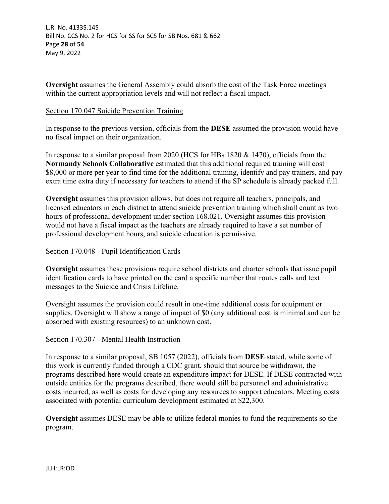**Oversight** assumes the General Assembly could absorb the cost of the Task Force meetings within the current appropriation levels and will not reflect a fiscal impact.

# Section 170.047 Suicide Prevention Training

In response to the previous version, officials from the **DESE** assumed the provision would have no fiscal impact on their organization.

In response to a similar proposal from 2020 (HCS for HBs 1820 & 1470), officials from the **Normandy Schools Collaborative** estimated that this additional required training will cost \$8,000 or more per year to find time for the additional training, identify and pay trainers, and pay extra time extra duty if necessary for teachers to attend if the SP schedule is already packed full.

**Oversight** assumes this provision allows, but does not require all teachers, principals, and licensed educators in each district to attend suicide prevention training which shall count as two hours of professional development under section 168.021. Oversight assumes this provision would not have a fiscal impact as the teachers are already required to have a set number of professional development hours, and suicide education is permissive.

# Section 170.048 - Pupil Identification Cards

**Oversight** assumes these provisions require school districts and charter schools that issue pupil identification cards to have printed on the card a specific number that routes calls and text messages to the Suicide and Crisis Lifeline.

Oversight assumes the provision could result in one-time additional costs for equipment or supplies. Oversight will show a range of impact of \$0 (any additional cost is minimal and can be absorbed with existing resources) to an unknown cost.

# Section 170.307 - Mental Health Instruction

In response to a similar proposal, SB 1057 (2022), officials from **DESE** stated, while some of this work is currently funded through a CDC grant, should that source be withdrawn, the programs described here would create an expenditure impact for DESE. If DESE contracted with outside entities for the programs described, there would still be personnel and administrative costs incurred, as well as costs for developing any resources to support educators. Meeting costs associated with potential curriculum development estimated at \$22,300.

**Oversight** assumes DESE may be able to utilize federal monies to fund the requirements so the program.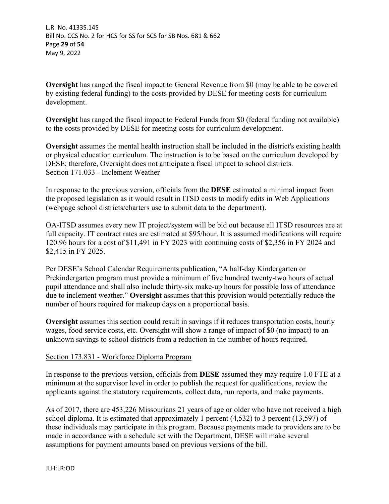**Oversight** has ranged the fiscal impact to General Revenue from \$0 (may be able to be covered by existing federal funding) to the costs provided by DESE for meeting costs for curriculum development.

**Oversight** has ranged the fiscal impact to Federal Funds from \$0 (federal funding not available) to the costs provided by DESE for meeting costs for curriculum development.

**Oversight** assumes the mental health instruction shall be included in the district's existing health or physical education curriculum. The instruction is to be based on the curriculum developed by DESE; therefore, Oversight does not anticipate a fiscal impact to school districts. Section 171.033 - Inclement Weather

In response to the previous version, officials from the **DESE** estimated a minimal impact from the proposed legislation as it would result in ITSD costs to modify edits in Web Applications (webpage school districts/charters use to submit data to the department).

OA-ITSD assumes every new IT project/system will be bid out because all ITSD resources are at full capacity. IT contract rates are estimated at \$95/hour. It is assumed modifications will require 120.96 hours for a cost of \$11,491 in FY 2023 with continuing costs of \$2,356 in FY 2024 and \$2,415 in FY 2025.

Per DESE's School Calendar Requirements publication, "A half-day Kindergarten or Prekindergarten program must provide a minimum of five hundred twenty-two hours of actual pupil attendance and shall also include thirty-six make-up hours for possible loss of attendance due to inclement weather." **Oversight** assumes that this provision would potentially reduce the number of hours required for makeup days on a proportional basis.

**Oversight** assumes this section could result in savings if it reduces transportation costs, hourly wages, food service costs, etc. Oversight will show a range of impact of \$0 (no impact) to an unknown savings to school districts from a reduction in the number of hours required.

# Section 173.831 - Workforce Diploma Program

In response to the previous version, officials from **DESE** assumed they may require 1.0 FTE at a minimum at the supervisor level in order to publish the request for qualifications, review the applicants against the statutory requirements, collect data, run reports, and make payments.

As of 2017, there are 453,226 Missourians 21 years of age or older who have not received a high school diploma. It is estimated that approximately 1 percent (4,532) to 3 percent (13,597) of these individuals may participate in this program. Because payments made to providers are to be made in accordance with a schedule set with the Department, DESE will make several assumptions for payment amounts based on previous versions of the bill.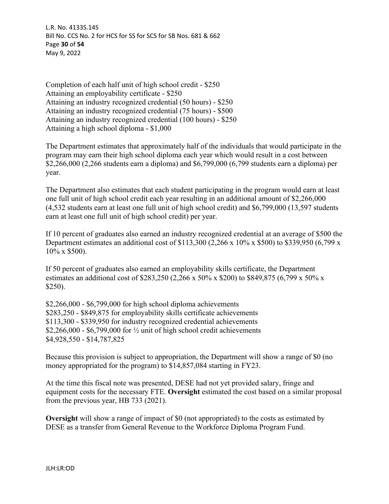L.R. No. 4133S.14S Bill No. CCS No. 2 for HCS for SS for SCS for SB Nos. 681 & 662 Page **30** of **54** May 9, 2022

Completion of each half unit of high school credit - \$250 Attaining an employability certificate - \$250 Attaining an industry recognized credential (50 hours) - \$250 Attaining an industry recognized credential (75 hours) - \$500 Attaining an industry recognized credential (100 hours) - \$250 Attaining a high school diploma - \$1,000

The Department estimates that approximately half of the individuals that would participate in the program may earn their high school diploma each year which would result in a cost between \$2,266,000 (2,266 students earn a diploma) and \$6,799,000 (6,799 students earn a diploma) per year.

The Department also estimates that each student participating in the program would earn at least one full unit of high school credit each year resulting in an additional amount of \$2,266,000 (4,532 students earn at least one full unit of high school credit) and \$6,799,000 (13,597 students earn at least one full unit of high school credit) per year.

If 10 percent of graduates also earned an industry recognized credential at an average of \$500 the Department estimates an additional cost of \$113,300 (2,266 x 10% x \$500) to \$339,950 (6,799 x 10% x \$500).

If 50 percent of graduates also earned an employability skills certificate, the Department estimates an additional cost of \$283,250 (2,266 x 50% x \$200) to \$849,875 (6,799 x 50% x \$250).

\$2,266,000 - \$6,799,000 for high school diploma achievements \$283,250 - \$849,875 for employability skills certificate achievements \$113,300 - \$339,950 for industry recognized credential achievements \$2,266,000 - \$6,799,000 for  $\frac{1}{2}$  unit of high school credit achievements \$4,928,550 - \$14,787,825

Because this provision is subject to appropriation, the Department will show a range of \$0 (no money appropriated for the program) to \$14,857,084 starting in FY23.

At the time this fiscal note was presented, DESE had not yet provided salary, fringe and equipment costs for the necessary FTE. **Oversight** estimated the cost based on a similar proposal from the previous year, HB 733 (2021).

**Oversight** will show a range of impact of \$0 (not appropriated) to the costs as estimated by DESE as a transfer from General Revenue to the Workforce Diploma Program Fund.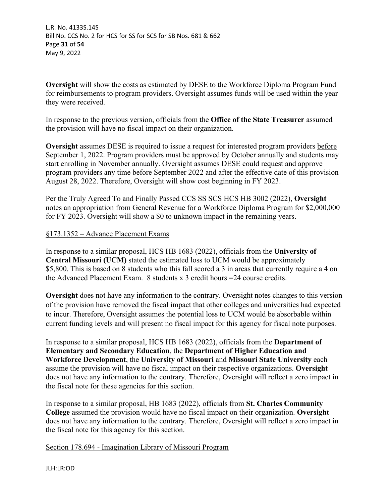L.R. No. 4133S.14S Bill No. CCS No. 2 for HCS for SS for SCS for SB Nos. 681 & 662 Page **31** of **54** May 9, 2022

**Oversight** will show the costs as estimated by DESE to the Workforce Diploma Program Fund for reimbursements to program providers. Oversight assumes funds will be used within the year they were received.

In response to the previous version, officials from the **Office of the State Treasurer** assumed the provision will have no fiscal impact on their organization.

**Oversight** assumes DESE is required to issue a request for interested program providers before September 1, 2022. Program providers must be approved by October annually and students may start enrolling in November annually. Oversight assumes DESE could request and approve program providers any time before September 2022 and after the effective date of this provision August 28, 2022. Therefore, Oversight will show cost beginning in FY 2023.

Per the Truly Agreed To and Finally Passed CCS SS SCS HCS HB 3002 (2022), **Oversight** notes an appropriation from General Revenue for a Workforce Diploma Program for \$2,000,000 for FY 2023. Oversight will show a \$0 to unknown impact in the remaining years.

#### §173.1352 – Advance Placement Exams

In response to a similar proposal, HCS HB 1683 (2022), officials from the **University of Central Missouri (UCM)** stated the estimated loss to UCM would be approximately \$5,800. This is based on 8 students who this fall scored a 3 in areas that currently require a 4 on the Advanced Placement Exam. 8 students x 3 credit hours  $=$  24 course credits.

**Oversight** does not have any information to the contrary. Oversight notes changes to this version of the provision have removed the fiscal impact that other colleges and universities had expected to incur. Therefore, Oversight assumes the potential loss to UCM would be absorbable within current funding levels and will present no fiscal impact for this agency for fiscal note purposes.

In response to a similar proposal, HCS HB 1683 (2022), officials from the **Department of Elementary and Secondary Education**, the **Department of Higher Education and Workforce Development**, the **University of Missouri** and **Missouri State University** each assume the provision will have no fiscal impact on their respective organizations. **Oversight** does not have any information to the contrary. Therefore, Oversight will reflect a zero impact in the fiscal note for these agencies for this section.

In response to a similar proposal, HB 1683 (2022), officials from **St. Charles Community College** assumed the provision would have no fiscal impact on their organization. **Oversight** does not have any information to the contrary. Therefore, Oversight will reflect a zero impact in the fiscal note for this agency for this section.

Section 178.694 - Imagination Library of Missouri Program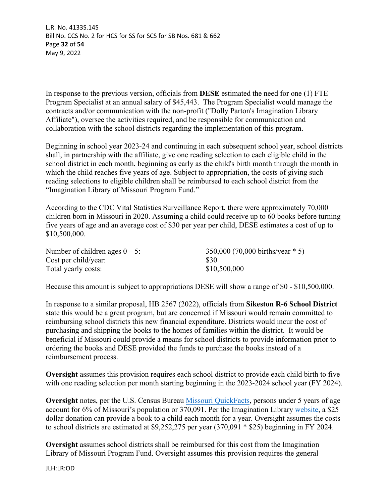L.R. No. 4133S.14S Bill No. CCS No. 2 for HCS for SS for SCS for SB Nos. 681 & 662 Page **32** of **54** May 9, 2022

In response to the previous version, officials from **DESE** estimated the need for one (1) FTE Program Specialist at an annual salary of \$45,443. The Program Specialist would manage the contracts and/or communication with the non-profit ("Dolly Parton's Imagination Library Affiliate"), oversee the activities required, and be responsible for communication and collaboration with the school districts regarding the implementation of this program.

Beginning in school year 2023-24 and continuing in each subsequent school year, school districts shall, in partnership with the affiliate, give one reading selection to each eligible child in the school district in each month, beginning as early as the child's birth month through the month in which the child reaches five years of age. Subject to appropriation, the costs of giving such reading selections to eligible children shall be reimbursed to each school district from the "Imagination Library of Missouri Program Fund."

According to the CDC Vital Statistics Surveillance Report, there were approximately 70,000 children born in Missouri in 2020. Assuming a child could receive up to 60 books before turning five years of age and an average cost of \$30 per year per child, DESE estimates a cost of up to \$10,500,000.

| Number of children ages $0 - 5$ : | $350,000$ (70,000 births/year $*$ 5) |
|-----------------------------------|--------------------------------------|
| Cost per child/year:              | -S30                                 |
| Total yearly costs:               | \$10,500,000                         |

Because this amount is subject to appropriations DESE will show a range of \$0 - \$10,500,000.

In response to a similar proposal, HB 2567 (2022), officials from **Sikeston R-6 School District** state this would be a great program, but are concerned if Missouri would remain committed to reimbursing school districts this new financial expenditure. Districts would incur the cost of purchasing and shipping the books to the homes of families within the district. It would be beneficial if Missouri could provide a means for school districts to provide information prior to ordering the books and DESE provided the funds to purchase the books instead of a reimbursement process.

**Oversight** assumes this provision requires each school district to provide each child birth to five with one reading selection per month starting beginning in the 2023-2024 school year (FY 2024).

**Oversight** notes, per the U.S. Census Bureau *Missouri QuickFacts*, persons under 5 years of age account for 6% of Missouri's population or 370,091. Per the Imagination Library [website](https://donate.imaginationlibrary.com/), a \$25 dollar donation can provide a book to a child each month for a year. Oversight assumes the costs to school districts are estimated at \$9,252,275 per year (370,091 \* \$25) beginning in FY 2024.

**Oversight** assumes school districts shall be reimbursed for this cost from the Imagination Library of Missouri Program Fund. Oversight assumes this provision requires the general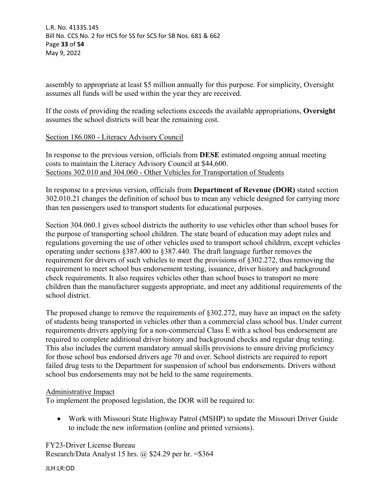assembly to appropriate at least \$5 million annually for this purpose. For simplicity, Oversight assumes all funds will be used within the year they are received.

If the costs of providing the reading selections exceeds the available appropriations, **Oversight**  assumes the school districts will bear the remaining cost.

# Section 186.080 - Literacy Advisory Council

In response to the previous version, officials from **DESE** estimated ongoing annual meeting costs to maintain the Literacy Advisory Council at \$44,600. Sections 302.010 and 304.060 - Other Vehicles for Transportation of Students

In response to a previous version, officials from **Department of Revenue (DOR)** stated section 302.010.21 changes the definition of school bus to mean any vehicle designed for carrying more than ten passengers used to transport students for educational purposes.

Section 304.060.1 gives school districts the authority to use vehicles other than school buses for the purpose of transporting school children. The state board of education may adopt rules and regulations governing the use of other vehicles used to transport school children, except vehicles operating under sections §387.400 to §387.440. The draft language further removes the requirement for drivers of such vehicles to meet the provisions of §302.272, thus removing the requirement to meet school bus endorsement testing, issuance, driver history and background check requirements. It also requires vehicles other than school buses to transport no more children than the manufacturer suggests appropriate, and meet any additional requirements of the school district.

The proposed change to remove the requirements of §302.272, may have an impact on the safety of students being transported in vehicles other than a commercial class school bus. Under current requirements drivers applying for a non-commercial Class E with a school bus endorsement are required to complete additional driver history and background checks and regular drug testing. This also includes the current mandatory annual skills provisions to ensure driving proficiency for those school bus endorsed drivers age 70 and over. School districts are required to report failed drug tests to the Department for suspension of school bus endorsements. Drivers without school bus endorsements may not be held to the same requirements.

# Administrative Impact

To implement the proposed legislation, the DOR will be required to:

 Work with Missouri State Highway Patrol (MSHP) to update the Missouri Driver Guide to include the new information (online and printed versions).

FY23-Driver License Bureau Research/Data Analyst 15 hrs. @ \$24.29 per hr. =\$364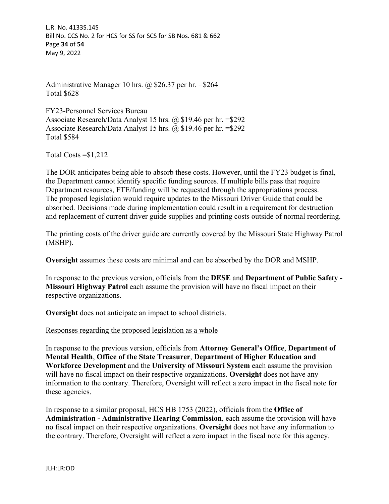L.R. No. 4133S.14S Bill No. CCS No. 2 for HCS for SS for SCS for SB Nos. 681 & 662 Page **34** of **54** May 9, 2022

Administrative Manager 10 hrs. @ \$26.37 per hr. =\$264 Total \$628

FY23-Personnel Services Bureau Associate Research/Data Analyst 15 hrs. @ \$19.46 per hr. =\$292 Associate Research/Data Analyst 15 hrs. @ \$19.46 per hr. =\$292 Total \$584

Total Costs =\$1,212

The DOR anticipates being able to absorb these costs. However, until the FY23 budget is final, the Department cannot identify specific funding sources. If multiple bills pass that require Department resources, FTE/funding will be requested through the appropriations process. The proposed legislation would require updates to the Missouri Driver Guide that could be absorbed. Decisions made during implementation could result in a requirement for destruction and replacement of current driver guide supplies and printing costs outside of normal reordering.

The printing costs of the driver guide are currently covered by the Missouri State Highway Patrol (MSHP).

**Oversight** assumes these costs are minimal and can be absorbed by the DOR and MSHP.

In response to the previous version, officials from the **DESE** and **Department of Public Safety - Missouri Highway Patrol** each assume the provision will have no fiscal impact on their respective organizations.

**Oversight** does not anticipate an impact to school districts.

Responses regarding the proposed legislation as a whole

In response to the previous version, officials from **Attorney General's Office**, **Department of Mental Health**, **Office of the State Treasurer**, **Department of Higher Education and Workforce Development** and the **University of Missouri System** each assume the provision will have no fiscal impact on their respective organizations. **Oversight** does not have any information to the contrary. Therefore, Oversight will reflect a zero impact in the fiscal note for these agencies.

In response to a similar proposal, HCS HB 1753 (2022), officials from the **Office of Administration - Administrative Hearing Commission**, each assume the provision will have no fiscal impact on their respective organizations. **Oversight** does not have any information to the contrary. Therefore, Oversight will reflect a zero impact in the fiscal note for this agency.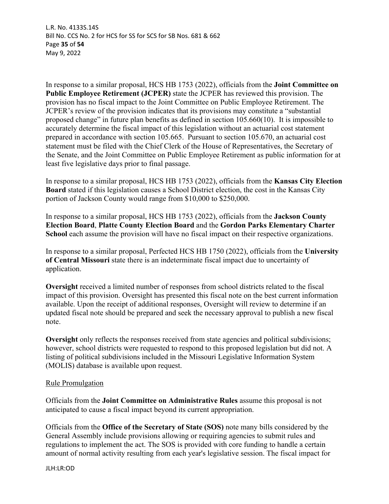L.R. No. 4133S.14S Bill No. CCS No. 2 for HCS for SS for SCS for SB Nos. 681 & 662 Page **35** of **54** May 9, 2022

In response to a similar proposal, HCS HB 1753 (2022), officials from the **Joint Committee on Public Employee Retirement (JCPER)** state the JCPER has reviewed this provision. The provision has no fiscal impact to the Joint Committee on Public Employee Retirement. The JCPER's review of the provision indicates that its provisions may constitute a "substantial proposed change" in future plan benefits as defined in section 105.660(10). It is impossible to accurately determine the fiscal impact of this legislation without an actuarial cost statement prepared in accordance with section 105.665. Pursuant to section 105.670, an actuarial cost statement must be filed with the Chief Clerk of the House of Representatives, the Secretary of the Senate, and the Joint Committee on Public Employee Retirement as public information for at least five legislative days prior to final passage.

In response to a similar proposal, HCS HB 1753 (2022), officials from the **Kansas City Election Board** stated if this legislation causes a School District election, the cost in the Kansas City portion of Jackson County would range from \$10,000 to \$250,000.

In response to a similar proposal, HCS HB 1753 (2022), officials from the **Jackson County Election Board**, **Platte County Election Board** and the **Gordon Parks Elementary Charter School** each assume the provision will have no fiscal impact on their respective organizations.

In response to a similar proposal, Perfected HCS HB 1750 (2022), officials from the **University of Central Missouri** state there is an indeterminate fiscal impact due to uncertainty of application.

**Oversight** received a limited number of responses from school districts related to the fiscal impact of this provision. Oversight has presented this fiscal note on the best current information available. Upon the receipt of additional responses, Oversight will review to determine if an updated fiscal note should be prepared and seek the necessary approval to publish a new fiscal note.

**Oversight** only reflects the responses received from state agencies and political subdivisions; however, school districts were requested to respond to this proposed legislation but did not. A listing of political subdivisions included in the Missouri Legislative Information System (MOLIS) database is available upon request.

# Rule Promulgation

Officials from the **Joint Committee on Administrative Rules** assume this proposal is not anticipated to cause a fiscal impact beyond its current appropriation.

Officials from the **Office of the Secretary of State (SOS)** note many bills considered by the General Assembly include provisions allowing or requiring agencies to submit rules and regulations to implement the act. The SOS is provided with core funding to handle a certain amount of normal activity resulting from each year's legislative session. The fiscal impact for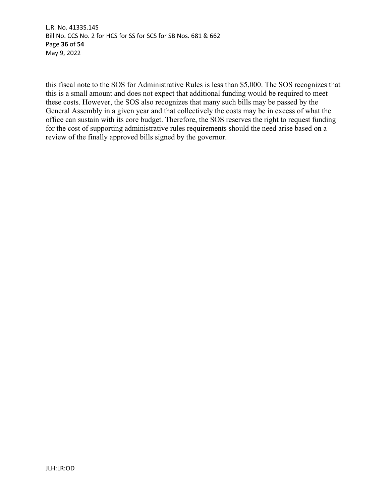L.R. No. 4133S.14S Bill No. CCS No. 2 for HCS for SS for SCS for SB Nos. 681 & 662 Page **36** of **54** May 9, 2022

this fiscal note to the SOS for Administrative Rules is less than \$5,000. The SOS recognizes that this is a small amount and does not expect that additional funding would be required to meet these costs. However, the SOS also recognizes that many such bills may be passed by the General Assembly in a given year and that collectively the costs may be in excess of what the office can sustain with its core budget. Therefore, the SOS reserves the right to request funding for the cost of supporting administrative rules requirements should the need arise based on a review of the finally approved bills signed by the governor.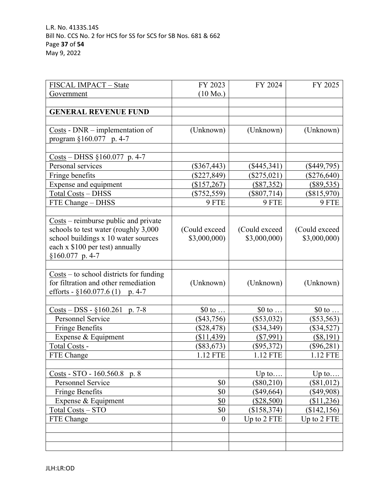| FISCAL IMPACT - State                                                               | FY 2023            | FY 2024        | FY 2025       |
|-------------------------------------------------------------------------------------|--------------------|----------------|---------------|
| Government                                                                          | $(10 \text{ Mo.})$ |                |               |
|                                                                                     |                    |                |               |
| <b>GENERAL REVENUE FUND</b>                                                         |                    |                |               |
|                                                                                     |                    |                |               |
| $\frac{Costs}{ }$ - DNR – implementation of                                         | (Unknown)          | (Unknown)      | (Unknown)     |
| program §160.077 p. 4-7                                                             |                    |                |               |
|                                                                                     |                    |                |               |
| $\frac{\text{Costs}}{\text{Oosts}} - \text{DHSS } \S 160.077 \text{ p. } 4-7$       |                    |                |               |
| Personal services                                                                   | $(\$367,443)$      | $(\$445,341)$  | $(\$449,795)$ |
| Fringe benefits                                                                     | $(\$227,849)$      | $(\$275,021)$  | $(\$276,640)$ |
| Expense and equipment                                                               | (\$157,267)        | (\$87,352)     | $(\$89,535)$  |
| <b>Total Costs - DHSS</b>                                                           | $(\$752,559)$      | $(\$807,714)$  | $(\$815,970)$ |
| FTE Change - DHSS                                                                   | 9 FTE              | 9 FTE          | 9 FTE         |
|                                                                                     |                    |                |               |
| $\frac{\text{Costs}}{\text{}}$ – reimburse public and private                       |                    |                |               |
| schools to test water (roughly 3,000                                                | (Could exceed)     | (Could exceed) | (Could exceed |
| school buildings x 10 water sources                                                 | \$3,000,000        | \$3,000,000)   | \$3,000,000)  |
| each x \$100 per test) annually                                                     |                    |                |               |
| $§160.077$ p. 4-7                                                                   |                    |                |               |
|                                                                                     |                    |                |               |
| $\frac{\text{Costs}}{\text{}}$ – to school districts for funding                    |                    |                |               |
| for filtration and other remediation                                                | (Unknown)          | (Unknown)      | (Unknown)     |
| efforts - $§160.077.6(1)$ p. 4-7                                                    |                    |                |               |
|                                                                                     |                    |                |               |
| $\frac{\text{Costs}}{\text{O}} - \text{DSS} - \frac{0}{9}160.261 \text{ p. } 7 - 8$ | $$0$ to            | $$0$ to        | $$0$ to       |
| Personnel Service                                                                   | $(\$43,756)$       | $(\$53,032)$   | $(\$53,563)$  |
| Fringe Benefits                                                                     | $(\$28,478)$       | $(\$34,349)$   | $(\$34,527)$  |
| Expense & Equipment                                                                 | (\$11,439)         | $(\$7,991)$    | $(\$8,191)$   |
| Total Costs -                                                                       | $(\$83,673)$       | $(\$95,372)$   | $(\$96,281)$  |
| FTE Change                                                                          | 1.12 FTE           | 1.12 FTE       | 1.12 FTE      |
|                                                                                     |                    |                |               |
| $\frac{\text{Costs}}{\text{S}} - \text{STO} - 160.560.8 \text{ p. } 8$              |                    | Up to          | Up to         |
| Personnel Service                                                                   | \$0                | $(\$80,210)$   | $(\$81,012)$  |
| Fringe Benefits                                                                     | \$0                | $(\$49,664)$   | (\$49,908)    |
| Expense & Equipment                                                                 | \$0                | $(\$28,500)$   | (\$11,236)    |
| Total Costs - STO                                                                   | \$0                | (\$158,374)    | (\$142, 156)  |
| FTE Change                                                                          | $\boldsymbol{0}$   | Up to 2 FTE    | Up to 2 FTE   |
|                                                                                     |                    |                |               |
|                                                                                     |                    |                |               |
|                                                                                     |                    |                |               |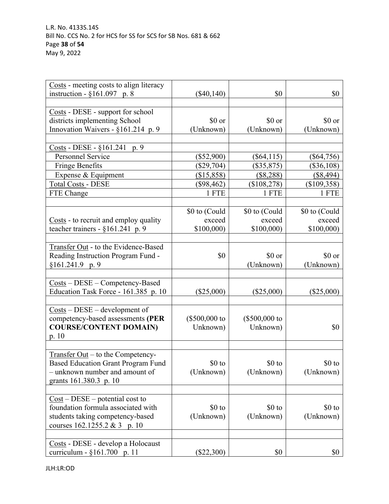| Costs - meeting costs to align literacy                              |                |                |               |
|----------------------------------------------------------------------|----------------|----------------|---------------|
| instruction - $§161.097$ p. 8                                        | $(\$40,140)$   | \$0            | \$0           |
|                                                                      |                |                |               |
| Costs - DESE - support for school                                    |                |                |               |
| districts implementing School                                        | \$0 or         | \$0 or         | \$0 or        |
| Innovation Waivers - §161.214 p. 9                                   | (Unknown)      | (Unknown)      | (Unknown)     |
|                                                                      |                |                |               |
| Costs - DESE - §161.241 p. 9                                         |                |                |               |
| Personnel Service                                                    | $(\$52,900)$   | $(\$64,115)$   | $(\$64,756)$  |
| <b>Fringe Benefits</b>                                               | $(\$29,704)$   | $(\$35,875)$   | $(\$36,108)$  |
| Expense & Equipment                                                  | (\$15,858)     | (\$8,288)      | (\$8,494)     |
| <b>Total Costs - DESE</b>                                            | $(\$98,462)$   | (\$108,278)    | $(\$109,358)$ |
| FTE Change                                                           | 1 FTE          | 1 FTE          | 1 FTE         |
|                                                                      |                |                |               |
|                                                                      | \$0 to (Could  | \$0 to (Could  | \$0 to (Could |
| Costs - to recruit and employ quality                                | exceed         | exceed         | exceed        |
| teacher trainers - §161.241 p. 9                                     | \$100,000      | \$100,000      | \$100,000     |
|                                                                      |                |                |               |
| Transfer Out - to the Evidence-Based                                 |                |                |               |
| Reading Instruction Program Fund -                                   | \$0            | \$0 or         | \$0 or        |
| $$161.241.9$ p. 9                                                    |                | (Unknown)      | (Unknown)     |
|                                                                      |                |                |               |
| $\frac{Costs}{ } - \text{DESE} - \text{Competency-Based}$            |                |                |               |
| Education Task Force - 161.385 p. 10                                 | $(\$25,000)$   | $(\$25,000)$   | $(\$25,000)$  |
|                                                                      |                |                |               |
| $\frac{\text{Costs}}{\text{}} - \text{DESE} - \text{development of}$ |                |                |               |
| competency-based assessments (PER                                    | $($500,000$ to | $($500,000$ to |               |
| <b>COURSE/CONTENT DOMAIN)</b>                                        | Unknown)       | Unknown)       | \$0           |
| p. $10$                                                              |                |                |               |
|                                                                      |                |                |               |
| Transfer $Out -$ to the Competency-                                  |                |                |               |
| <b>Based Education Grant Program Fund</b>                            | $$0$ to        | $$0$ to        | $$0$ to       |
| - unknown number and amount of                                       | (Unknown)      | (Unknown)      | (Unknown)     |
| grants 161.380.3 p. 10                                               |                |                |               |
|                                                                      |                |                |               |
| $Cost - DESE - potential cost to$                                    |                |                |               |
| foundation formula associated with                                   | \$0 to         | $$0$ to        | $$0$ to       |
| students taking competency-based                                     | (Unknown)      | (Unknown)      | (Unknown)     |
| courses 162.1255.2 & 3 p. 10                                         |                |                |               |
|                                                                      |                |                |               |
| Costs - DESE - develop a Holocaust                                   |                |                |               |
| curriculum - §161.700 p. 11                                          | $(\$22,300)$   | \$0            | \$0           |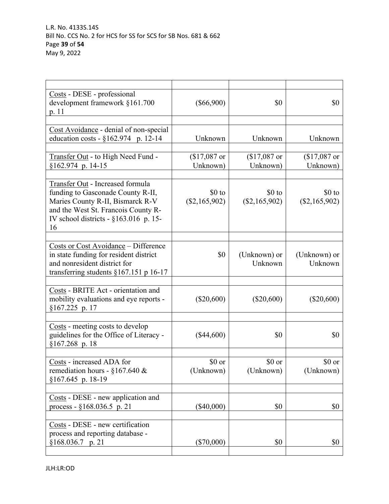| Costs - DESE - professional<br>development framework §161.700<br>p. 11                                                                                                                              | $(\$66,900)$               | \$0                        | \$0                        |
|-----------------------------------------------------------------------------------------------------------------------------------------------------------------------------------------------------|----------------------------|----------------------------|----------------------------|
|                                                                                                                                                                                                     |                            |                            |                            |
| Cost Avoidance - denial of non-special<br>education costs - $\S 162.974$ p. 12-14                                                                                                                   | Unknown                    | Unknown                    | Unknown                    |
| Transfer Out - to High Need Fund -<br>§162.974 p. 14-15                                                                                                                                             | $$17,087$ or<br>Unknown)   | $($17,087$ or<br>Unknown)  | $$17,087$ or<br>Unknown)   |
| Transfer Out - Increased formula<br>funding to Gasconade County R-II,<br>Maries County R-II, Bismarck R-V<br>and the West St. Francois County R-<br>IV school districts - $\S 163.016$ p. 15-<br>16 | $$0$ to<br>$(\$2,165,902)$ | $$0$ to<br>$(\$2,165,902)$ | $$0$ to<br>$(\$2,165,902)$ |
| <b>Costs or Cost Avoidance - Difference</b><br>in state funding for resident district<br>and nonresident district for<br>transferring students $§167.151$ p 16-17                                   | \$0                        | (Unknown) or<br>Unknown    | (Unknown) or<br>Unknown    |
| Costs - BRITE Act - orientation and<br>mobility evaluations and eye reports -<br>§167.225 p. 17                                                                                                     | $(\$20,600)$               | $(\$20,600)$               | $(\$20,600)$               |
| Costs - meeting costs to develop<br>guidelines for the Office of Literacy -<br>$$167.268$ p. 18                                                                                                     | $(\$44,600)$               | \$0                        | \$0                        |
| Costs - increased ADA for<br>remediation hours - $§167.640 \&$<br>$$167.645$ p. 18-19                                                                                                               | \$0 or<br>(Unknown)        | \$0 or<br>(Unknown)        | \$0 or<br>(Unknown)        |
| Costs - DESE - new application and<br>process - $§168.036.5$ p. 21                                                                                                                                  | $(\$40,000)$               | \$0                        | \$0                        |
| Costs - DESE - new certification<br>process and reporting database -<br>$$168.036.7$ p. 21                                                                                                          | $(\$70,000)$               | \$0                        | \$0                        |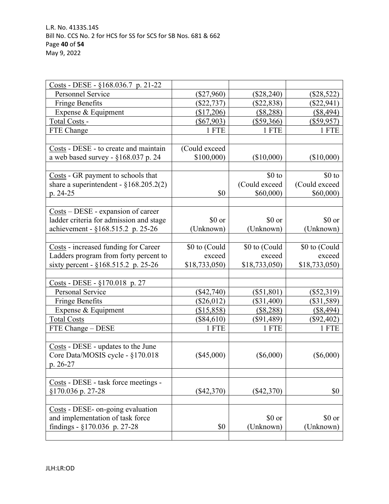| $\frac{\text{Costs}}{\text{}}$ - DESE - §168.036.7 p. 21-22        |               |               |               |
|--------------------------------------------------------------------|---------------|---------------|---------------|
| Personnel Service                                                  | $(\$27,960)$  | $(\$28,240)$  | $(\$28,522)$  |
| <b>Fringe Benefits</b>                                             | $(\$22,737)$  | $(\$22,838)$  | $(\$22,941)$  |
| Expense & Equipment                                                | (\$17,206)    | (\$8,288)     | (\$8,494)     |
| Total Costs -                                                      | $(\$67,903)$  | $(\$59,366)$  | $(\$59,957)$  |
| FTE Change                                                         | 1 FTE         | 1 FTE         | 1 FTE         |
|                                                                    |               |               |               |
| Costs - DESE - to create and maintain                              | (Could exceed |               |               |
| a web based survey - §168.037 p. 24                                | \$100,000     | (\$10,000)    | $(\$10,000)$  |
|                                                                    |               |               |               |
| Costs - GR payment to schools that                                 |               | $$0$ to       | $$0$ to       |
| share a superintendent - $\S 168.205.2(2)$                         |               | (Could exceed | (Could exceed |
| p. 24-25                                                           | \$0           | \$60,000)     | \$60,000      |
|                                                                    |               |               |               |
| $\frac{\text{Costs}}{\text{}} - \text{DESE}$ - expansion of career |               |               |               |
| ladder criteria for admission and stage                            | \$0 or        | \$0 or        | \$0 or        |
| achievement - §168.515.2 p. 25-26                                  | (Unknown)     | (Unknown)     | (Unknown)     |
|                                                                    |               |               |               |
| Costs - increased funding for Career                               | \$0 to (Could | \$0 to (Could | \$0 to (Could |
| Ladders program from forty percent to                              | exceed        | exceed        | exceed        |
| sixty percent - §168.515.2 p. 25-26                                | \$18,733,050  | \$18,733,050  | \$18,733,050) |
|                                                                    |               |               |               |
| $\frac{\text{Costs}}{\text{Costs}}$ - DESE - §170.018 p. 27        |               |               |               |
| Personal Service                                                   | $(\$42,740)$  | $(\$51,801)$  | $(\$52,319)$  |
| <b>Fringe Benefits</b>                                             | $(\$26,012)$  | $(\$31,400)$  | $(\$31,589)$  |
| Expense & Equipment                                                | (\$15,858)    | (\$8,288)     | $($ \$8,494)  |
| <b>Total Costs</b>                                                 | $(\$84,610)$  | $(\$91,489)$  | $(\$92,402)$  |
| FTE Change - DESE                                                  | 1 FTE         | 1 FTE         | 1 FTE         |
|                                                                    |               |               |               |
| Costs - DESE - updates to the June                                 |               |               |               |
| Core Data/MOSIS cycle - §170.018                                   | $(\$45,000)$  | $(\$6,000)$   | $(\$6,000)$   |
| p. 26-27                                                           |               |               |               |
|                                                                    |               |               |               |
| Costs - DESE - task force meetings -                               |               |               |               |
| §170.036 p. 27-28                                                  | $(\$42,370)$  | $(\$42,370)$  | \$0           |
|                                                                    |               |               |               |
| Costs - DESE- on-going evaluation                                  |               |               |               |
| and implementation of task force                                   |               | \$0 or        | \$0 or        |
| findings - $\S170.036$ p. 27-28                                    | \$0           | (Unknown)     | (Unknown)     |
|                                                                    |               |               |               |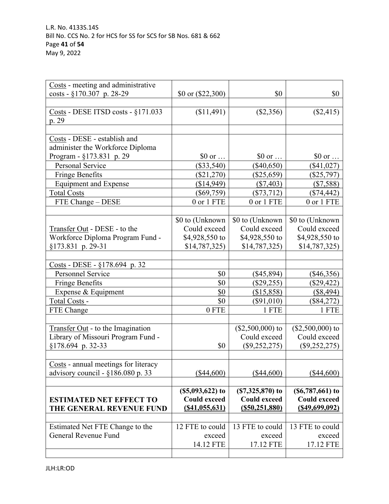| Costs - meeting and administrative                      |                                          |                                            |                                            |
|---------------------------------------------------------|------------------------------------------|--------------------------------------------|--------------------------------------------|
| costs - $\S170.307$ p. 28-29                            | \$0 or (\$22,300)                        | \$0                                        | \$0                                        |
|                                                         |                                          |                                            |                                            |
| Costs - DESE ITSD costs - §171.033                      | (\$11,491)                               | (\$2,356)                                  | (\$2,415)                                  |
| p. 29                                                   |                                          |                                            |                                            |
| Costs - DESE - establish and                            |                                          |                                            |                                            |
| administer the Workforce Diploma                        |                                          |                                            |                                            |
| Program - §173.831 p. 29                                | $$0 \text{ or } $                        | $$0 \text{ or } $                          | \$0 or                                     |
| Personal Service                                        | $(\$33,540)$                             | $(\$40,650)$                               | $(\$41,027)$                               |
| <b>Fringe Benefits</b>                                  | $(\$21,270)$                             | $(\$25,659)$                               | $(\$25,797)$                               |
| <b>Equipment and Expense</b>                            | (\$14,949)                               | $(\$7,403)$                                | $(\$7,588)$                                |
| <b>Total Costs</b>                                      | $(\$69,759)$                             | $(\$73,712)$                               | $(\$74,442)$                               |
| FTE Change - DESE                                       | 0 or 1 FTE                               | 0 or 1 FTE                                 | 0 or 1 FTE                                 |
|                                                         |                                          |                                            |                                            |
|                                                         | \$0 to (Unknown)                         | \$0 to (Unknown)                           | \$0 to (Unknown)                           |
| Transfer Out - DESE - to the                            | Could exceed                             | Could exceed                               | Could exceed                               |
| Workforce Diploma Program Fund -                        | \$4,928,550 to                           | \$4,928,550 to                             | \$4,928,550 to                             |
| §173.831 p. 29-31                                       | \$14,787,325                             | \$14,787,325                               | \$14,787,325)                              |
|                                                         |                                          |                                            |                                            |
| $\frac{\text{Costs}}{\text{S}}$ - DESE - §178.694 p. 32 |                                          |                                            |                                            |
| Personnel Service                                       | \$0                                      | $(\$45,894)$                               | $(\$46,356)$                               |
| <b>Fringe Benefits</b>                                  | \$0                                      | $(\$29,255)$                               | $(\$29,422)$                               |
| Expense & Equipment                                     | \$0                                      | (\$15,858)                                 | (\$8,494)                                  |
| Total Costs -                                           | \$0                                      | $(\$91,010)$                               | (\$84,272)                                 |
| FTE Change                                              | 0 FTE                                    | 1 FTE                                      | 1 FTE                                      |
|                                                         |                                          |                                            |                                            |
| Transfer Out - to the Imagination                       |                                          | $($2,500,000)$ to                          | $($2,500,000)$ to                          |
| Library of Missouri Program Fund -                      |                                          | Could exceed                               | Could exceed                               |
| §178.694 p. 32-33                                       | \$0                                      | $(\$9,252,275)$                            | $(\$9,252,275)$                            |
|                                                         |                                          |                                            |                                            |
| Costs - annual meetings for literacy                    |                                          |                                            |                                            |
| advisory council - $§186.080$ p. 33                     | $(\$44,600)$                             | $(\$44,600)$                               | $(\$44,600)$                               |
|                                                         |                                          |                                            |                                            |
|                                                         | $(S5,093,622)$ to<br><b>Could exceed</b> | $(S7, 325, 870)$ to<br><b>Could exceed</b> | $(S6, 787, 661)$ to<br><b>Could exceed</b> |
| <b>ESTIMATED NET EFFECT TO</b>                          | (S41, 055, 631)                          | (S50, 251, 880)                            | (S49, 699, 092)                            |
| THE GENERAL REVENUE FUND                                |                                          |                                            |                                            |
|                                                         | 12 FTE to could                          | 13 FTE to could                            | 13 FTE to could                            |
| Estimated Net FTE Change to the<br>General Revenue Fund | exceed                                   | exceed                                     | exceed                                     |
|                                                         | 14.12 FTE                                | 17.12 FTE                                  | 17.12 FTE                                  |
|                                                         |                                          |                                            |                                            |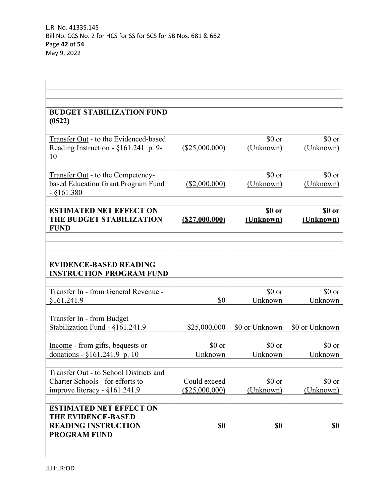| <b>ESTIMATED NET EFFECT ON</b><br><b>THE EVIDENCE-BASED</b>                                                   |                                |                     |                     |
|---------------------------------------------------------------------------------------------------------------|--------------------------------|---------------------|---------------------|
| Transfer Out - to School Districts and<br>Charter Schools - for efforts to<br>improve literacy - $§161.241.9$ | Could exceed<br>(\$25,000,000) | \$0 or<br>(Unknown) | \$0 or<br>(Unknown) |
| Income - from gifts, bequests or<br>donations - §161.241.9 p. 10                                              | \$0 or<br>Unknown              | \$0 or<br>Unknown   | \$0 or<br>Unknown   |
| Transfer In - from Budget<br>Stabilization Fund - §161.241.9                                                  | \$25,000,000                   | \$0 or Unknown      | \$0 or Unknown      |
| Transfer In - from General Revenue -<br>\$161.241.9                                                           | \$0                            | \$0 or<br>Unknown   | \$0 or<br>Unknown   |
| <b>EVIDENCE-BASED READING</b><br><b>INSTRUCTION PROGRAM FUND</b>                                              |                                |                     |                     |
| <b>ESTIMATED NET EFFECT ON</b><br>THE BUDGET STABILIZATION<br><b>FUND</b>                                     | (S27,000,000)                  | \$0 or<br>(Unknown) | \$0 or<br>(Unknown) |
| <b>Transfer Out</b> - to the Competency-<br>based Education Grant Program Fund<br>$-$ §161.380                | (\$2,000,000)                  | \$0 or<br>(Unknown) | \$0 or<br>(Unknown) |
| Transfer Out - to the Evidenced-based<br>Reading Instruction - §161.241 p. 9-<br>10                           | $(\$25,000,000)$               | \$0 or<br>(Unknown) | \$0 or<br>(Unknown) |
| <b>BUDGET STABILIZATION FUND</b><br>(0522)                                                                    |                                |                     |                     |
|                                                                                                               |                                |                     |                     |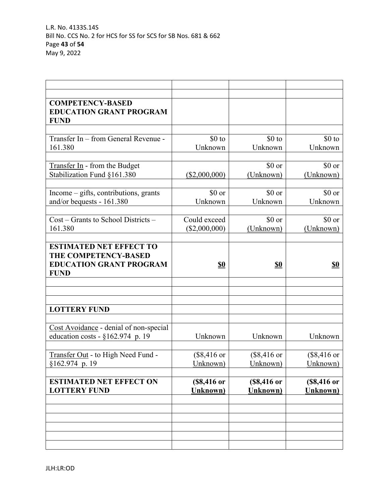| <b>COMPETENCY-BASED</b>                |                       |                       |                       |
|----------------------------------------|-----------------------|-----------------------|-----------------------|
| <b>EDUCATION GRANT PROGRAM</b>         |                       |                       |                       |
| <b>FUND</b>                            |                       |                       |                       |
|                                        |                       |                       |                       |
| Transfer In - from General Revenue -   | $$0$ to               | $$0$ to               | $$0$ to               |
|                                        |                       |                       |                       |
| 161.380                                | Unknown               | Unknown               | Unknown               |
|                                        |                       |                       |                       |
| Transfer In - from the Budget          |                       | \$0 or                | \$0 or                |
| Stabilization Fund §161.380            | $(\$2,000,000)$       | (Unknown)             | (Unknown)             |
|                                        |                       |                       |                       |
| Income – gifts, contributions, grants  | \$0 or                | \$0 or                | \$0 or                |
| and/or bequests - 161.380              | Unknown               | Unknown               | Unknown               |
|                                        |                       |                       |                       |
| Cost – Grants to School Districts –    | Could exceed          | \$0 or                | \$0 or                |
| 161.380                                | (\$2,000,000)         | (Unknown)             | (Unknown)             |
|                                        |                       |                       |                       |
| <b>ESTIMATED NET EFFECT TO</b>         |                       |                       |                       |
| THE COMPETENCY-BASED                   |                       |                       |                       |
|                                        |                       |                       |                       |
| <b>EDUCATION GRANT PROGRAM</b>         | <u>\$0</u>            | <u>\$0</u>            | <u>\$0</u>            |
| <b>FUND</b>                            |                       |                       |                       |
|                                        |                       |                       |                       |
|                                        |                       |                       |                       |
|                                        |                       |                       |                       |
| <b>LOTTERY FUND</b>                    |                       |                       |                       |
|                                        |                       |                       |                       |
| Cost Avoidance - denial of non-special |                       |                       |                       |
| education costs - $\S 162.974$ p. 19   | Unknown               | Unknown               | Unknown               |
|                                        |                       |                       |                       |
| Transfer Out - to High Need Fund -     | $($8,416 \text{ or }$ | $($8,416 \text{ or }$ | $($8,416 \text{ or }$ |
| $$162.974$ p. 19                       | Unknown)              | Unknown)              | Unknown)              |
|                                        |                       |                       |                       |
| <b>ESTIMATED NET EFFECT ON</b>         |                       |                       |                       |
|                                        | (\$8,416 or           | (\$8,416 or           | (\$8,416 or           |
| <b>LOTTERY FUND</b>                    | <b>Unknown</b> )      | <b>Unknown</b> )      | <b>Unknown</b> )      |
|                                        |                       |                       |                       |
|                                        |                       |                       |                       |
|                                        |                       |                       |                       |
|                                        |                       |                       |                       |
|                                        |                       |                       |                       |
|                                        |                       |                       |                       |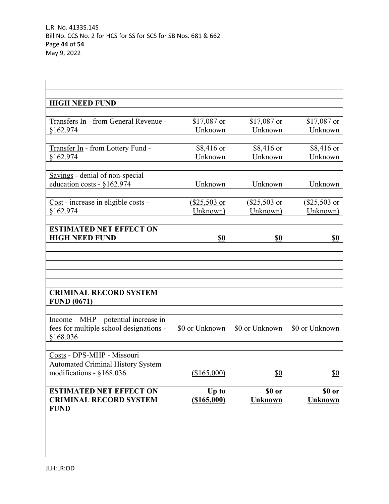| <b>HIGH NEED FUND</b>                    |                |                |                |
|------------------------------------------|----------------|----------------|----------------|
|                                          |                |                |                |
| Transfers In - from General Revenue -    | $$17,087$ or   | $$17,087$ or   | $$17,087$ or   |
| §162.974                                 | Unknown        | Unknown        | Unknown        |
|                                          |                |                |                |
| Transfer In - from Lottery Fund -        | \$8,416 or     | \$8,416 or     | \$8,416 or     |
| §162.974                                 | Unknown        | Unknown        | Unknown        |
|                                          |                |                |                |
| Savings - denial of non-special          |                |                |                |
| education costs - §162.974               | Unknown        | Unknown        | Unknown        |
|                                          |                |                |                |
| Cost - increase in eligible costs -      | (\$25,503 or   | (\$25,503 or   | (\$25,503 or   |
| §162.974                                 | Unknown)       | Unknown)       | Unknown)       |
|                                          |                |                |                |
| <b>ESTIMATED NET EFFECT ON</b>           |                |                |                |
| <b>HIGH NEED FUND</b>                    | <u>\$0</u>     | <u>\$0</u>     | <u>\$0</u>     |
|                                          |                |                |                |
|                                          |                |                |                |
|                                          |                |                |                |
|                                          |                |                |                |
|                                          |                |                |                |
| <b>CRIMINAL RECORD SYSTEM</b>            |                |                |                |
| <b>FUND (0671)</b>                       |                |                |                |
|                                          |                |                |                |
| $Income – MHP – potential increase in$   |                |                |                |
| fees for multiple school designations -  | \$0 or Unknown | \$0 or Unknown | \$0 or Unknown |
| §168.036                                 |                |                |                |
|                                          |                |                |                |
| Costs - DPS-MHP - Missouri               |                |                |                |
| <b>Automated Criminal History System</b> |                |                |                |
| modifications - §168.036                 | (\$165,000)    | \$0            | \$0            |
|                                          |                |                |                |
| <b>ESTIMATED NET EFFECT ON</b>           | Up to          | \$0 or         | \$0 or         |
| <b>CRIMINAL RECORD SYSTEM</b>            | (\$165,000)    | <b>Unknown</b> | <b>Unknown</b> |
| <b>FUND</b>                              |                |                |                |
|                                          |                |                |                |
|                                          |                |                |                |
|                                          |                |                |                |
|                                          |                |                |                |
|                                          |                |                |                |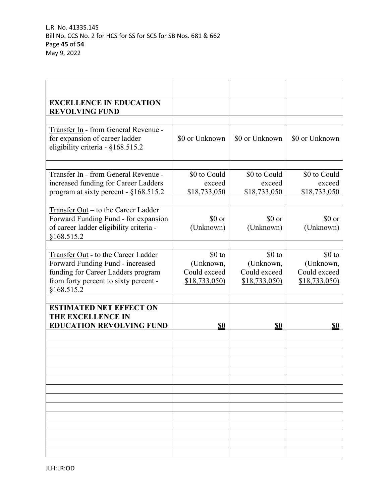| <b>EXCELLENCE IN EDUCATION</b><br><b>REVOLVING FUND</b>                                                                              |                              |                              |                           |
|--------------------------------------------------------------------------------------------------------------------------------------|------------------------------|------------------------------|---------------------------|
|                                                                                                                                      |                              |                              |                           |
| Transfer In - from General Revenue -<br>for expansion of career ladder<br>eligibility criteria - §168.515.2                          | \$0 or Unknown               | \$0 or Unknown               | \$0 or Unknown            |
| Transfer In - from General Revenue -                                                                                                 | \$0 to Could                 | \$0 to Could                 | \$0 to Could              |
| increased funding for Career Ladders                                                                                                 | exceed                       | exceed                       | exceed                    |
| program at sixty percent - §168.515.2                                                                                                | \$18,733,050                 | \$18,733,050                 | \$18,733,050              |
|                                                                                                                                      |                              |                              |                           |
| Transfer Out – to the Career Ladder<br>Forward Funding Fund - for expansion<br>of career ladder eligibility criteria -<br>§168.515.2 | $$0 \text{ or}$<br>(Unknown) | $$0 \text{ or}$<br>(Unknown) | \$0 or<br>(Unknown)       |
|                                                                                                                                      |                              |                              |                           |
| Transfer Out - to the Career Ladder                                                                                                  | \$0 to                       | $$0$ to                      | $$0$ to                   |
| Forward Funding Fund - increased<br>funding for Career Ladders program                                                               | (Unknown,<br>Could exceed    | (Unknown,<br>Could exceed    | (Unknown,<br>Could exceed |
| from forty percent to sixty percent -<br>§168.515.2                                                                                  | \$18,733,050                 | \$18,733,050                 | \$18,733,050              |
|                                                                                                                                      |                              |                              |                           |
| <b>ESTIMATED NET EFFECT ON</b><br>THE EXCELLENCE IN<br><b>EDUCATION REVOLVING FUND</b>                                               | <u>\$0</u>                   | <u>\$0</u>                   | <u>\$0</u>                |
|                                                                                                                                      |                              |                              |                           |
|                                                                                                                                      |                              |                              |                           |
|                                                                                                                                      |                              |                              |                           |
|                                                                                                                                      |                              |                              |                           |
|                                                                                                                                      |                              |                              |                           |
|                                                                                                                                      |                              |                              |                           |
|                                                                                                                                      |                              |                              |                           |
|                                                                                                                                      |                              |                              |                           |
|                                                                                                                                      |                              |                              |                           |
|                                                                                                                                      |                              |                              |                           |
|                                                                                                                                      |                              |                              |                           |
|                                                                                                                                      |                              |                              |                           |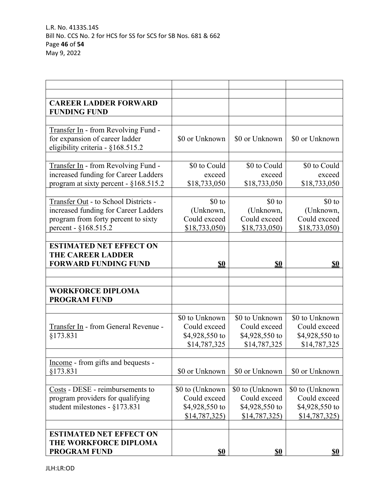| <b>CAREER LADDER FORWARD</b>            |                  |                 |                 |
|-----------------------------------------|------------------|-----------------|-----------------|
| <b>FUNDING FUND</b>                     |                  |                 |                 |
|                                         |                  |                 |                 |
| Transfer In - from Revolving Fund -     |                  |                 |                 |
| for expansion of career ladder          | \$0 or Unknown   | \$0 or Unknown  | \$0 or Unknown  |
| eligibility criteria - §168.515.2       |                  |                 |                 |
|                                         |                  |                 |                 |
| Transfer In - from Revolving Fund -     | \$0 to Could     | \$0 to Could    | \$0 to Could    |
| increased funding for Career Ladders    | exceed           | exceed          | exceed          |
| program at sixty percent - $§168.515.2$ | \$18,733,050     | \$18,733,050    | \$18,733,050    |
|                                         |                  |                 |                 |
| Transfer Out - to School Districts -    | \$0 to           | $$0$ to         | $$0$ to         |
| increased funding for Career Ladders    | (Unknown,        | (Unknown,       | (Unknown,       |
| program from forty percent to sixty     | Could exceed     | Could exceed    | Could exceed    |
| percent - §168.515.2                    | \$18,733,050     | \$18,733,050    | \$18,733,050    |
|                                         |                  |                 |                 |
| <b>ESTIMATED NET EFFECT ON</b>          |                  |                 |                 |
| <b>THE CAREER LADDER</b>                |                  |                 |                 |
| <b>FORWARD FUNDING FUND</b>             | <u>\$0</u>       | \$0             | <b>\$0</b>      |
|                                         |                  |                 |                 |
|                                         |                  |                 |                 |
| <b>WORKFORCE DIPLOMA</b>                |                  |                 |                 |
| <b>PROGRAM FUND</b>                     |                  |                 |                 |
|                                         |                  |                 |                 |
|                                         | \$0 to Unknown   | \$0 to Unknown  | \$0 to Unknown  |
| Transfer In - from General Revenue -    | Could exceed     | Could exceed    | Could exceed    |
| §173.831                                | \$4,928,550 to   | \$4,928,550 to  | \$4,928,550 to  |
|                                         | \$14,787,325     | \$14,787,325    | \$14,787,325    |
|                                         |                  |                 |                 |
| Income - from gifts and bequests -      |                  |                 |                 |
| §173.831                                | \$0 or Unknown   | \$0 or Unknown  | \$0 or Unknown  |
|                                         |                  |                 |                 |
| Costs - DESE - reimbursements to        | \$0 to (Unknown) | \$0 to (Unknown | \$0 to (Unknown |
| program providers for qualifying        | Could exceed     | Could exceed    | Could exceed    |
| student milestones - $\S173.831$        | \$4,928,550 to   | \$4,928,550 to  | \$4,928,550 to  |
|                                         | \$14,787,325     | \$14,787,325    | \$14,787,325    |
|                                         |                  |                 |                 |
| <b>ESTIMATED NET EFFECT ON</b>          |                  |                 |                 |
| THE WORKFORCE DIPLOMA                   |                  |                 |                 |
|                                         |                  |                 |                 |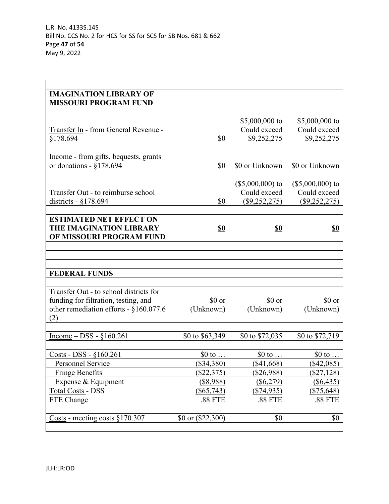| <b>IMAGINATION LIBRARY OF</b>          |                            |                                        |                   |
|----------------------------------------|----------------------------|----------------------------------------|-------------------|
| <b>MISSOURI PROGRAM FUND</b>           |                            |                                        |                   |
|                                        |                            |                                        |                   |
|                                        |                            | \$5,000,000 to                         | \$5,000,000 to    |
| Transfer In - from General Revenue -   |                            | Could exceed                           | Could exceed      |
| §178.694                               | \$0                        | \$9,252,275                            | \$9,252,275       |
|                                        |                            |                                        |                   |
| Income - from gifts, bequests, grants  | \$0                        | \$0 or Unknown                         | \$0 or Unknown    |
| or donations - $§178.694$              |                            |                                        |                   |
|                                        |                            | $($5,000,000)$ to                      | $($5,000,000)$ to |
| Transfer Out - to reimburse school     |                            | Could exceed                           | Could exceed      |
| districts - $\S 178.694$               | \$0                        | $(\$9,252,275)$                        | (\$9,252,275)     |
|                                        |                            |                                        |                   |
| <b>ESTIMATED NET EFFECT ON</b>         |                            |                                        |                   |
| THE IMAGINATION LIBRARY                | $\underline{\mathbf{S0}}$  | $\underline{\mathbf{\underline{\$0}}}$ | <u>\$0</u>        |
| OF MISSOURI PROGRAM FUND               |                            |                                        |                   |
|                                        |                            |                                        |                   |
|                                        |                            |                                        |                   |
|                                        |                            |                                        |                   |
| <b>FEDERAL FUNDS</b>                   |                            |                                        |                   |
|                                        |                            |                                        |                   |
| Transfer Out - to school districts for |                            |                                        |                   |
| funding for filtration, testing, and   | \$0 or                     | \$0 or                                 | \$0 or            |
| other remediation efforts - §160.077.6 | (Unknown)                  | (Unknown)                              | (Unknown)         |
| (2)                                    |                            |                                        |                   |
|                                        |                            |                                        |                   |
| Income $-$ DSS - $§160.261$            | \$0 to \$63,349            | \$0 to \$72,035                        | \$0 to \$72,719   |
|                                        |                            |                                        |                   |
| Costs - DSS - §160.261                 | $$0$ to $\ldots$           | $$0$ to $\ldots$                       | \$0 to $\ldots$   |
| Personnel Service                      | $(\$34,380)$               | $(\$41,668)$                           | $(\$42,085)$      |
| <b>Fringe Benefits</b>                 | \$22,375                   | $(\$26,988)$                           | $(\$27,128)$      |
| Expense & Equipment                    | $($ \$8,988)               | $($ \$6,279)                           | $($ \$6,435)      |
| <b>Total Costs - DSS</b>               | $(\$65,743)$               | $(\$74,935)$                           | <u>(\$75,648)</u> |
| FTE Change                             | .88 FTE                    | .88 FTE                                | .88 FTE           |
|                                        |                            |                                        |                   |
| Costs - meeting costs $§170.307$       | $$0 \text{ or } ($22,300)$ | \$0                                    | \$0               |
|                                        |                            |                                        |                   |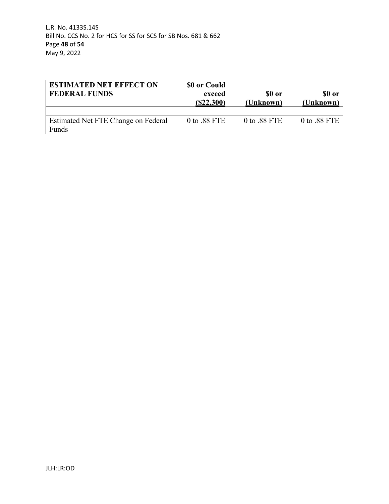| <b>ESTIMATED NET EFFECT ON</b>      | \$0 or Could |                |              |
|-------------------------------------|--------------|----------------|--------------|
| <b>FEDERAL FUNDS</b>                | exceed       | \$0 or         | \$0 or       |
|                                     | (S22, 300)   | (Unknown)      | (Unknown)    |
|                                     |              |                |              |
| Estimated Net FTE Change on Federal | 0 to .88 FTE | $0$ to .88 FTE | 0 to .88 FTE |
| Funds                               |              |                |              |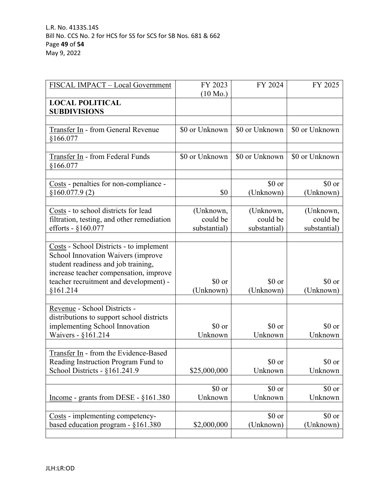| FISCAL IMPACT - Local Government                                                                                                                               | FY 2023            | FY 2024             | FY 2025             |
|----------------------------------------------------------------------------------------------------------------------------------------------------------------|--------------------|---------------------|---------------------|
| <b>LOCAL POLITICAL</b>                                                                                                                                         | $(10 \text{ Mo.})$ |                     |                     |
| <b>SUBDIVISIONS</b>                                                                                                                                            |                    |                     |                     |
|                                                                                                                                                                |                    |                     |                     |
| Transfer In - from General Revenue<br>§166.077                                                                                                                 | \$0 or Unknown     | \$0 or Unknown      | \$0 or Unknown      |
|                                                                                                                                                                |                    |                     |                     |
| Transfer In - from Federal Funds<br>§166.077                                                                                                                   | \$0 or Unknown     | \$0 or Unknown      | \$0 or Unknown      |
|                                                                                                                                                                |                    |                     |                     |
| Costs - penalties for non-compliance -<br>\$160.077.9(2)                                                                                                       | \$0                | \$0 or<br>(Unknown) | \$0 or<br>(Unknown) |
|                                                                                                                                                                |                    |                     |                     |
| Costs - to school districts for lead                                                                                                                           | (Unknown,          | (Unknown,           | (Unknown,           |
| filtration, testing, and other remediation                                                                                                                     | could be           | could be            | could be            |
| efforts - $§160.077$                                                                                                                                           | substantial)       | substantial)        | substantial)        |
| Costs - School Districts - to implement<br>School Innovation Waivers (improve<br>student readiness and job training,<br>increase teacher compensation, improve |                    |                     |                     |
| teacher recruitment and development) -                                                                                                                         | \$0 or             | \$0 or              | \$0 or              |
| §161.214                                                                                                                                                       | (Unknown)          | (Unknown)           | (Unknown)           |
| Revenue - School Districts -<br>distributions to support school districts<br>implementing School Innovation<br>Waivers - §161.214                              | \$0 or<br>Unknown  | \$0 or<br>Unknown   | \$0 or<br>Unknown   |
|                                                                                                                                                                |                    |                     |                     |
| Transfer In - from the Evidence-Based<br>Reading Instruction Program Fund to<br>School Districts - §161.241.9                                                  | \$25,000,000       | \$0 or<br>Unknown   | \$0 or<br>Unknown   |
|                                                                                                                                                                | \$0 or             | \$0 or              | \$0 or              |
| Income - grants from DESE - §161.380                                                                                                                           | Unknown            | Unknown             | Unknown             |
| Costs - implementing competency-                                                                                                                               |                    | \$0 or              | \$0 or              |
| based education program - $§161.380$                                                                                                                           | \$2,000,000        | (Unknown)           | (Unknown)           |
|                                                                                                                                                                |                    |                     |                     |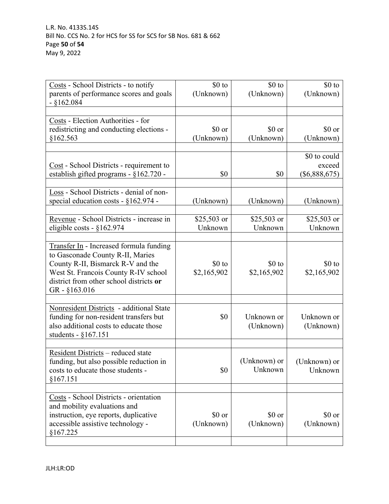| Costs - School Districts - to notify     | $$0$ to     | \$0 to       | $$0$ to         |
|------------------------------------------|-------------|--------------|-----------------|
| parents of performance scores and goals  | (Unknown)   | (Unknown)    | (Unknown)       |
| $-$ §162.084                             |             |              |                 |
|                                          |             |              |                 |
|                                          |             |              |                 |
| Costs - Election Authorities - for       |             |              |                 |
| redistricting and conducting elections - | \$0 or      | \$0 or       | \$0 or          |
| §162.563                                 | (Unknown)   | (Unknown)    | (Unknown)       |
|                                          |             |              |                 |
|                                          |             |              |                 |
|                                          |             |              | \$0 to could    |
| Cost - School Districts - requirement to |             |              | exceed          |
| establish gifted programs - §162.720 -   | \$0         | \$0          | $(\$6,888,675)$ |
|                                          |             |              |                 |
|                                          |             |              |                 |
| Loss - School Districts - denial of non- |             |              |                 |
| special education costs - $§162.974$ -   | (Unknown)   | (Unknown)    | (Unknown)       |
|                                          |             |              |                 |
|                                          |             |              |                 |
| Revenue - School Districts - increase in | \$25,503 or | \$25,503 or  | \$25,503 or     |
| eligible costs - $§162.974$              | Unknown     | Unknown      | Unknown         |
|                                          |             |              |                 |
| Transfer In - Increased formula funding  |             |              |                 |
|                                          |             |              |                 |
| to Gasconade County R-II, Maries         |             |              |                 |
| County R-II, Bismarck R-V and the        | $$0$ to     | $$0$ to      | $$0$ to         |
| West St. Francois County R-IV school     | \$2,165,902 | \$2,165,902  | \$2,165,902     |
| district from other school districts or  |             |              |                 |
|                                          |             |              |                 |
| GR - §163.016                            |             |              |                 |
|                                          |             |              |                 |
| Nonresident Districts - additional State |             |              |                 |
| funding for non-resident transfers but   | \$0         | Unknown or   | Unknown or      |
|                                          |             |              |                 |
| also additional costs to educate those   |             | (Unknown)    | (Unknown)       |
| students - $§167.151$                    |             |              |                 |
|                                          |             |              |                 |
| Resident Districts - reduced state       |             |              |                 |
| funding, but also possible reduction in  |             | (Unknown) or | (Unknown) or    |
|                                          |             |              |                 |
| costs to educate those students -        | \$0         | Unknown      | Unknown         |
| §167.151                                 |             |              |                 |
|                                          |             |              |                 |
| Costs - School Districts - orientation   |             |              |                 |
|                                          |             |              |                 |
| and mobility evaluations and             |             |              |                 |
| instruction, eye reports, duplicative    | \$0 or      | \$0 or       | \$0 or          |
| accessible assistive technology -        | (Unknown)   | (Unknown)    | (Unknown)       |
| §167.225                                 |             |              |                 |
|                                          |             |              |                 |
|                                          |             |              |                 |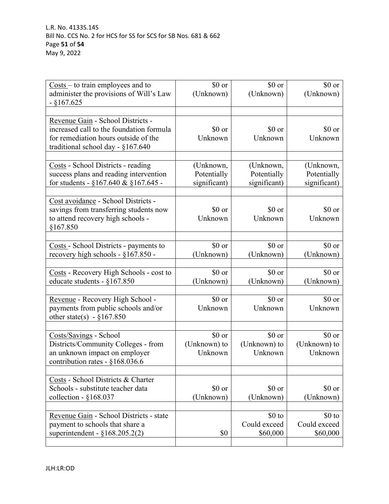| $Costs - to train employees and to$<br>administer the provisions of Will's Law<br>$-$ §167.625                                                             | \$0 or<br>(Unknown)                      | \$0 or<br>(Unknown)                      | \$0 or<br>(Unknown)                      |
|------------------------------------------------------------------------------------------------------------------------------------------------------------|------------------------------------------|------------------------------------------|------------------------------------------|
| Revenue Gain - School Districts -<br>increased call to the foundation formula<br>for remediation hours outside of the<br>traditional school day - §167.640 | \$0 or<br>Unknown                        | \$0 or<br>Unknown                        | \$0 or<br>Unknown                        |
| Costs - School Districts - reading<br>success plans and reading intervention<br>for students - $\S 167.640 \& \S 167.645$ -                                | (Unknown,<br>Potentially<br>significant) | (Unknown,<br>Potentially<br>significant) | (Unknown,<br>Potentially<br>significant) |
| Cost avoidance - School Districts -<br>savings from transferring students now<br>to attend recovery high schools -<br>§167.850                             | \$0 or<br>Unknown                        | \$0 or<br>Unknown                        | \$0 or<br>Unknown                        |
| Costs - School Districts - payments to<br>recovery high schools - §167.850 -                                                                               | \$0 or<br>(Unknown)                      | \$0 or<br>(Unknown)                      | \$0 or<br>(Unknown)                      |
| Costs - Recovery High Schools - cost to<br>educate students - $§167.850$                                                                                   | \$0 or<br>(Unknown)                      | \$0 or<br>(Unknown)                      | \$0 or<br>(Unknown)                      |
| Revenue - Recovery High School -<br>payments from public schools and/or<br>other state(s) - $\S 167.850$                                                   | \$0 or<br>Unknown                        | \$0 or<br>Unknown                        | \$0 or<br>Unknown                        |
| Costs/Savings - School<br>Districts/Community Colleges - from<br>an unknown impact on employer<br>contribution rates - §168.036.6                          | \$0 or<br>(Unknown) to<br>Unknown        | \$0 or<br>(Unknown) to<br>Unknown        | \$0 or<br>(Unknown) to<br>Unknown        |
| Costs - School Districts & Charter<br>Schools - substitute teacher data<br>collection - $§168.037$                                                         | \$0 or<br>(Unknown)                      | \$0 or<br>(Unknown)                      | \$0 or<br>(Unknown)                      |
| Revenue Gain - School Districts - state<br>payment to schools that share a<br>superintendent - $§168.205.2(2)$                                             | \$0                                      | $$0$ to<br>Could exceed<br>\$60,000      | $$0$ to<br>Could exceed<br>\$60,000      |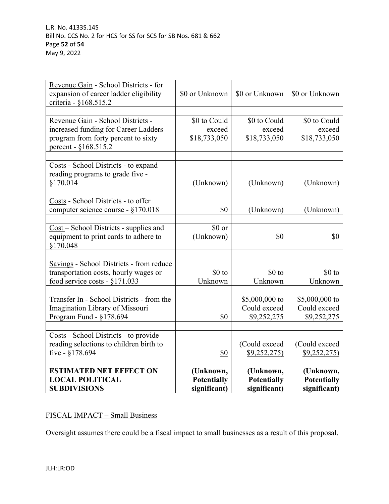| <b>ESTIMATED NET EFFECT ON</b><br><b>LOCAL POLITICAL</b><br><b>SUBDIVISIONS</b>      | (Unknown,<br><b>Potentially</b><br>significant) | (Unknown,<br><b>Potentially</b><br>significant) | (Unknown,<br><b>Potentially</b><br>significant) |
|--------------------------------------------------------------------------------------|-------------------------------------------------|-------------------------------------------------|-------------------------------------------------|
|                                                                                      |                                                 |                                                 |                                                 |
| five - $§178.694$                                                                    | \$0                                             | \$9,252,275                                     | \$9,252,275                                     |
| reading selections to children birth to                                              |                                                 | (Could exceed                                   | (Could exceed                                   |
| Costs - School Districts - to provide                                                |                                                 |                                                 |                                                 |
| Program Fund - §178.694                                                              | \$0                                             | \$9,252,275                                     | \$9,252,275                                     |
| Imagination Library of Missouri                                                      |                                                 | Could exceed                                    | Could exceed                                    |
| Transfer In - School Districts - from the                                            |                                                 | \$5,000,000 to                                  | \$5,000,000 to                                  |
| food service costs - $\S 171.033$                                                    | Unknown                                         | Unknown                                         | Unknown                                         |
| Savings - School Districts - from reduce<br>transportation costs, hourly wages or    | \$0 to                                          | $$0$ to                                         | \$0 to                                          |
| equipment to print cards to adhere to<br>§170.048                                    | (Unknown)                                       | \$0                                             | \$0                                             |
| Cost - School Districts - supplies and                                               | \$0 or                                          |                                                 |                                                 |
| Costs - School Districts - to offer<br>computer science course - §170.018            | \$0                                             | (Unknown)                                       | (Unknown)                                       |
|                                                                                      |                                                 |                                                 |                                                 |
| Costs - School Districts - to expand<br>reading programs to grade five -<br>§170.014 | (Unknown)                                       | (Unknown)                                       | (Unknown)                                       |
| percent - §168.515.2                                                                 |                                                 |                                                 |                                                 |
| increased funding for Career Ladders<br>program from forty percent to sixty          | exceed<br>\$18,733,050                          | exceed<br>\$18,733,050                          | exceed<br>\$18,733,050                          |
| Revenue Gain - School Districts -                                                    | \$0 to Could                                    | \$0 to Could                                    | \$0 to Could                                    |
| expansion of career ladder eligibility<br>criteria - §168.515.2                      | \$0 or Unknown                                  | \$0 or Unknown                                  | \$0 or Unknown                                  |
| Revenue Gain - School Districts - for                                                |                                                 |                                                 |                                                 |

# FISCAL IMPACT – Small Business

Oversight assumes there could be a fiscal impact to small businesses as a result of this proposal.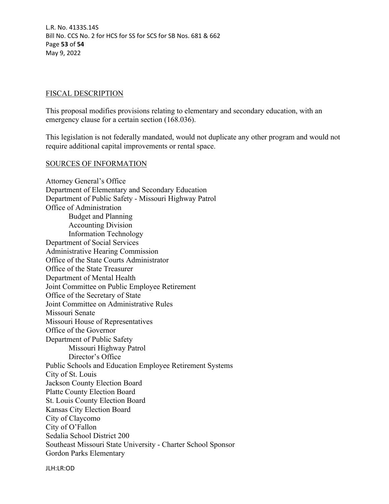L.R. No. 4133S.14S Bill No. CCS No. 2 for HCS for SS for SCS for SB Nos. 681 & 662 Page **53** of **54** May 9, 2022

#### FISCAL DESCRIPTION

This proposal modifies provisions relating to elementary and secondary education, with an emergency clause for a certain section (168.036).

This legislation is not federally mandated, would not duplicate any other program and would not require additional capital improvements or rental space.

#### SOURCES OF INFORMATION

Attorney General's Office Department of Elementary and Secondary Education Department of Public Safety - Missouri Highway Patrol Office of Administration Budget and Planning Accounting Division Information Technology Department of Social Services Administrative Hearing Commission Office of the State Courts Administrator Office of the State Treasurer Department of Mental Health Joint Committee on Public Employee Retirement Office of the Secretary of State Joint Committee on Administrative Rules Missouri Senate Missouri House of Representatives Office of the Governor Department of Public Safety Missouri Highway Patrol Director's Office Public Schools and Education Employee Retirement Systems City of St. Louis Jackson County Election Board Platte County Election Board St. Louis County Election Board Kansas City Election Board City of Claycomo City of O'Fallon Sedalia School District 200 Southeast Missouri State University - Charter School Sponsor Gordon Parks Elementary